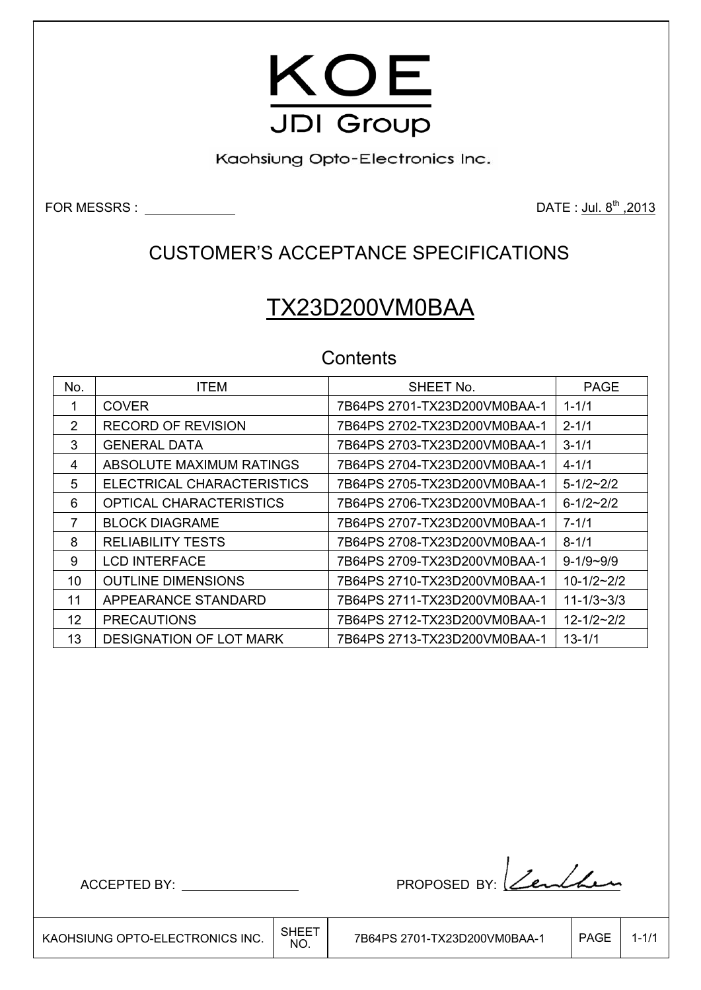

Kaohsiung Opto-Electronics Inc.

FOR MESSRS :  $\frac{1}{2013}$ 

## CUSTOMER'S ACCEPTANCE SPECIFICATIONS

# TX23D200VM0BAA

## **Contents**

| No.           | <b>ITEM</b>                    | SHEET No.                    | <b>PAGE</b>        |
|---------------|--------------------------------|------------------------------|--------------------|
| 1             | <b>COVER</b>                   | 7B64PS 2701-TX23D200VM0BAA-1 | $1 - 1/1$          |
| $\mathcal{P}$ | <b>RECORD OF REVISION</b>      | 7B64PS 2702-TX23D200VM0BAA-1 | $2 - 1/1$          |
| 3             | <b>GENERAL DATA</b>            | 7B64PS 2703-TX23D200VM0BAA-1 | $3 - 1/1$          |
| 4             | ABSOLUTE MAXIMUM RATINGS       | 7B64PS 2704-TX23D200VM0BAA-1 | $4 - 1/1$          |
| 5             | ELECTRICAL CHARACTERISTICS     | 7B64PS 2705-TX23D200VM0BAA-1 | $5 - 1/2 \sim 2/2$ |
| 6             | OPTICAL CHARACTERISTICS        | 7B64PS 2706-TX23D200VM0BAA-1 | $6 - 1/2 \sim 2/2$ |
| 7             | <b>BLOCK DIAGRAME</b>          | 7B64PS 2707-TX23D200VM0BAA-1 | $7 - 1/1$          |
| 8             | <b>RELIABILITY TESTS</b>       | 7B64PS 2708-TX23D200VM0BAA-1 | $8 - 1/1$          |
| 9             | <b>LCD INTERFACE</b>           | 7B64PS 2709-TX23D200VM0BAA-1 | $9 - 1/9 - 9/9$    |
| 10            | <b>OUTLINE DIMENSIONS</b>      | 7B64PS 2710-TX23D200VM0BAA-1 | $10-1/2-2/2$       |
| 11            | APPEARANCE STANDARD            | 7B64PS 2711-TX23D200VM0BAA-1 | $11 - 1/3 - 3/3$   |
| 12            | <b>PRECAUTIONS</b>             | 7B64PS 2712-TX23D200VM0BAA-1 | $12 - 1/2 - 2/2$   |
| 13            | <b>DESIGNATION OF LOT MARK</b> | 7B64PS 2713-TX23D200VM0BAA-1 | $13 - 1/1$         |

ACCEPTED BY: PROPOSED BY: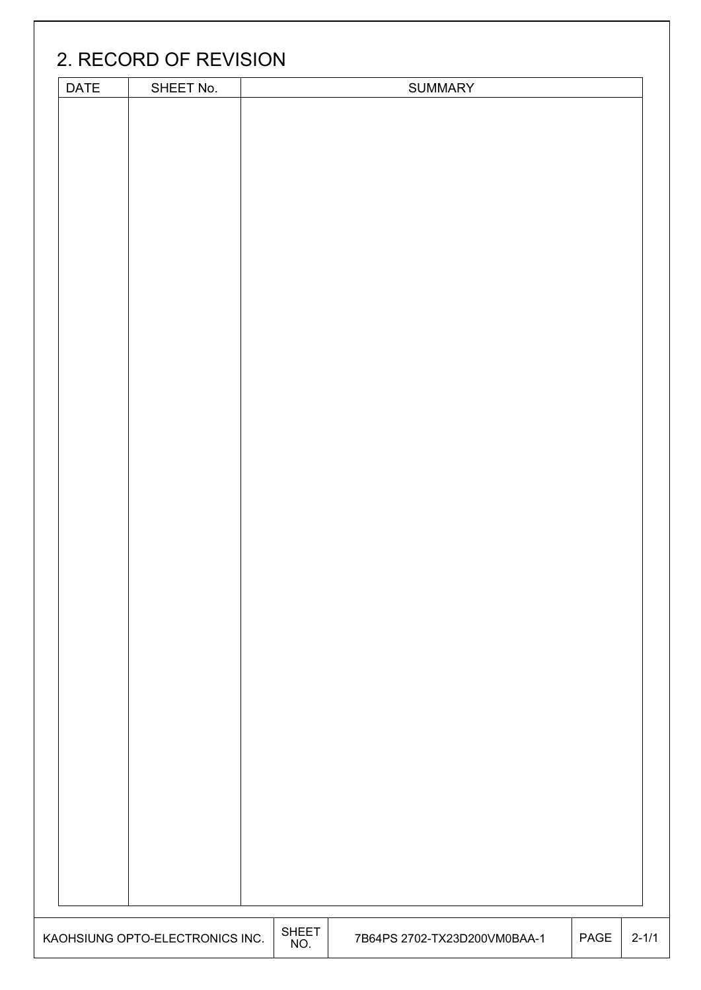| <b>DATE</b> | SHEET No. |  | <b>SUMMARY</b> |  |
|-------------|-----------|--|----------------|--|
|             |           |  |                |  |
|             |           |  |                |  |
|             |           |  |                |  |
|             |           |  |                |  |
|             |           |  |                |  |
|             |           |  |                |  |
|             |           |  |                |  |
|             |           |  |                |  |
|             |           |  |                |  |
|             |           |  |                |  |
|             |           |  |                |  |
|             |           |  |                |  |
|             |           |  |                |  |
|             |           |  |                |  |
|             |           |  |                |  |
|             |           |  |                |  |
|             |           |  |                |  |
|             |           |  |                |  |
|             |           |  |                |  |
|             |           |  |                |  |
|             |           |  |                |  |
|             |           |  |                |  |
|             |           |  |                |  |
|             |           |  |                |  |
|             |           |  |                |  |
|             |           |  |                |  |
|             |           |  |                |  |
|             |           |  |                |  |
|             |           |  |                |  |
|             |           |  |                |  |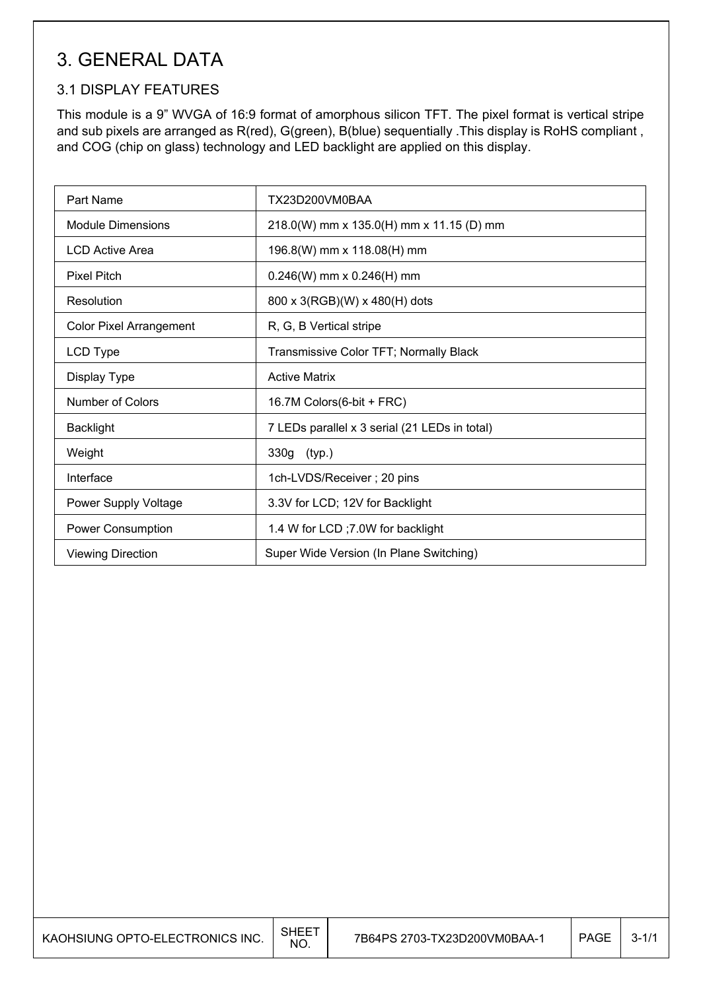## 3. GENERAL DATA

### 3.1 DISPLAY FEATURES

This module is a 9" WVGA of 16:9 format of amorphous silicon TFT. The pixel format is vertical stripe and sub pixels are arranged as R(red), G(green), B(blue) sequentially .This display is RoHS compliant , and COG (chip on glass) technology and LED backlight are applied on this display.

| Part Name                      | TX23D200VM0BAA                                |
|--------------------------------|-----------------------------------------------|
| <b>Module Dimensions</b>       | 218.0(W) mm x 135.0(H) mm x 11.15 (D) mm      |
| <b>LCD Active Area</b>         | 196.8(W) mm x 118.08(H) mm                    |
| <b>Pixel Pitch</b>             | $0.246(W)$ mm x $0.246(H)$ mm                 |
| Resolution                     | 800 x 3(RGB)(W) x 480(H) dots                 |
| <b>Color Pixel Arrangement</b> | R, G, B Vertical stripe                       |
| LCD Type                       | Transmissive Color TFT; Normally Black        |
| Display Type                   | <b>Active Matrix</b>                          |
| Number of Colors               | 16.7M Colors(6-bit + FRC)                     |
| <b>Backlight</b>               | 7 LEDs parallel x 3 serial (21 LEDs in total) |
| Weight                         | 330g (typ.)                                   |
| Interface                      | 1ch-LVDS/Receiver; 20 pins                    |
| Power Supply Voltage           | 3.3V for LCD; 12V for Backlight               |
| Power Consumption              | 1.4 W for LCD; 7.0W for backlight             |
| <b>Viewing Direction</b>       | Super Wide Version (In Plane Switching)       |

 $\overline{\phantom{a}}$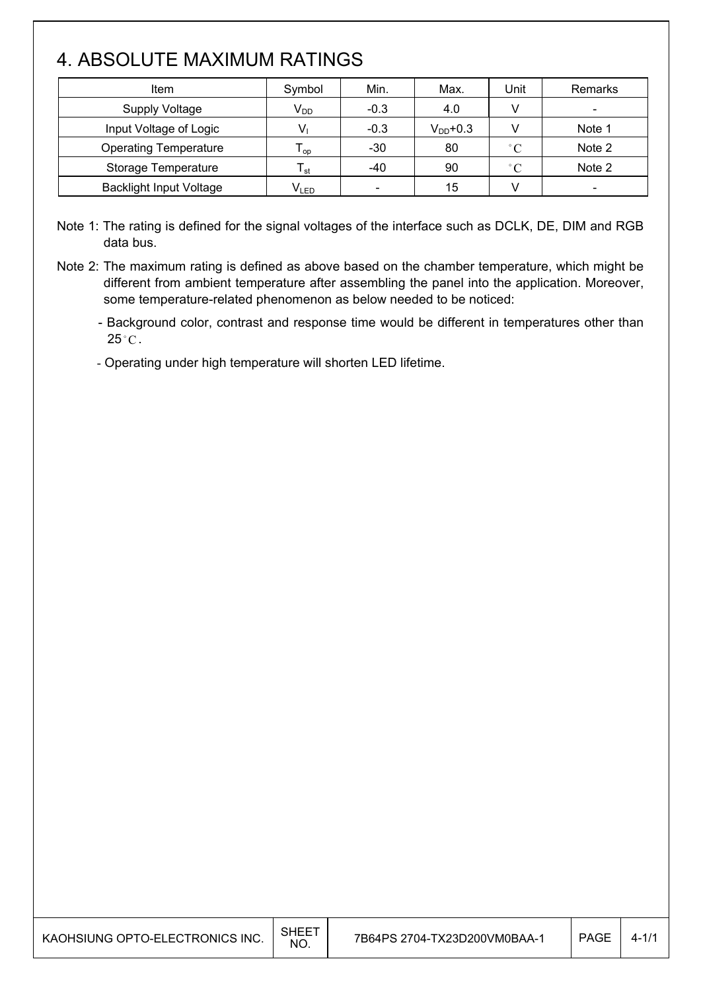## 4. ABSOLUTE MAXIMUM RATINGS

 $\overline{\phantom{a}}$ 

| Item                           | Symbol          | Min.                         | Max.          | Unit         | Remarks                  |
|--------------------------------|-----------------|------------------------------|---------------|--------------|--------------------------|
| <b>Supply Voltage</b>          | V <sub>DD</sub> | $-0.3$                       | 4.0           |              | $\overline{\phantom{0}}$ |
| Input Voltage of Logic         |                 | $-0.3$                       | $V_{DD}$ +0.3 |              | Note 1                   |
| <b>Operating Temperature</b>   | l op            | $-30$                        | 80            | $\degree$ C  | Note 2                   |
| Storage Temperature            | l st            | -40                          | 90            | $^{\circ}$ C | Note 2                   |
| <b>Backlight Input Voltage</b> | $V_{LED}$       | $\qquad \qquad \blacksquare$ | 15            |              |                          |

Note 1: The rating is defined for the signal voltages of the interface such as DCLK, DE, DIM and RGB data bus.

- Operating under high temperature will shorten LED lifetime.

Note 2: The maximum rating is defined as above based on the chamber temperature, which might be different from ambient temperature after assembling the panel into the application. Moreover, some temperature-related phenomenon as below needed to be noticed:

<sup>-</sup> Background color, contrast and response time would be different in temperatures other than  $25^{\circ}$ C.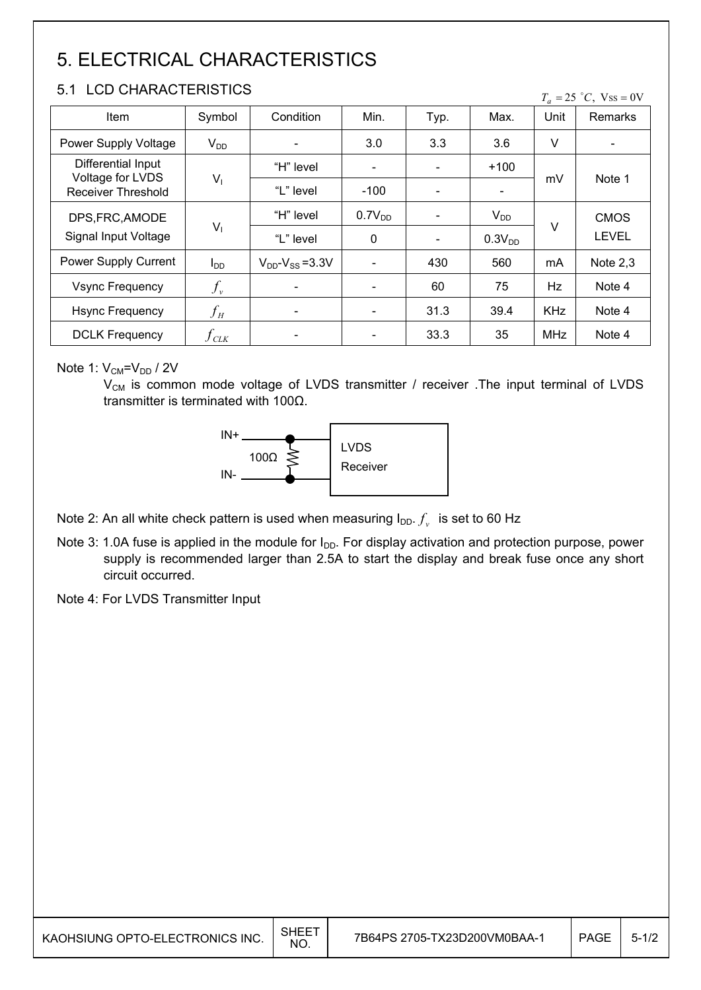## 5. ELECTRICAL CHARACTERISTICS

### 5.1 LCD CHARACTERISTICS

 $T_a = 25$  °C, Vss = 0V

| Item                                          | Symbol                  | Condition                 | Min.                     | Typ.                     | Max.               | Unit       | Remarks      |
|-----------------------------------------------|-------------------------|---------------------------|--------------------------|--------------------------|--------------------|------------|--------------|
| Power Supply Voltage                          | $V_{DD}$                |                           | 3.0                      | 3.3                      | 3.6                | V          |              |
| Differential Input                            |                         | "H" level                 | $\overline{\phantom{a}}$ | $\overline{\phantom{a}}$ | $+100$             |            |              |
| Voltage for LVDS<br><b>Receiver Threshold</b> | $V_1$                   | "L" level                 | $-100$                   |                          |                    | mV         | Note 1       |
| DPS, FRC, AMODE                               |                         | "H" level                 | 0.7V <sub>DD</sub>       |                          | $V_{DD}$           | $\vee$     | <b>CMOS</b>  |
| Signal Input Voltage                          | $V_1$                   | "L" level                 | 0                        |                          | 0.3V <sub>DD</sub> |            | <b>LEVEL</b> |
| Power Supply Current                          | $I_{DD}$                | $V_{DD}$ - $V_{SS}$ =3.3V | $\overline{\phantom{a}}$ | 430                      | 560                | mA         | Note $2,3$   |
| <b>Vsync Frequency</b>                        | $f_{\nu}$               |                           |                          | 60                       | 75                 | Hz         | Note 4       |
| <b>Hsync Frequency</b>                        | $f_H$                   | ٠                         | $\blacksquare$           | 31.3                     | 39.4               | <b>KHz</b> | Note 4       |
| <b>DCLK Frequency</b>                         | $f_{\text{\tiny{CLK}}}$ |                           |                          | 33.3                     | 35                 | <b>MHz</b> | Note 4       |

Note 1:  $V_{CM} = V_{DD} / 2V$ 

 $V_{CM}$  is common mode voltage of LVDS transmitter / receiver . The input terminal of LVDS transmitter is terminated with 100 $\Omega$ .



Note 2: An all white check pattern is used when measuring  $I_{DD}$ .  $f_v$  is set to 60 Hz

Note 3: 1.0A fuse is applied in the module for  $I_{DD}$ . For display activation and protection purpose, power supply is recommended larger than 2.5A to start the display and break fuse once any short circuit occurred.

Note 4: For LVDS Transmitter Input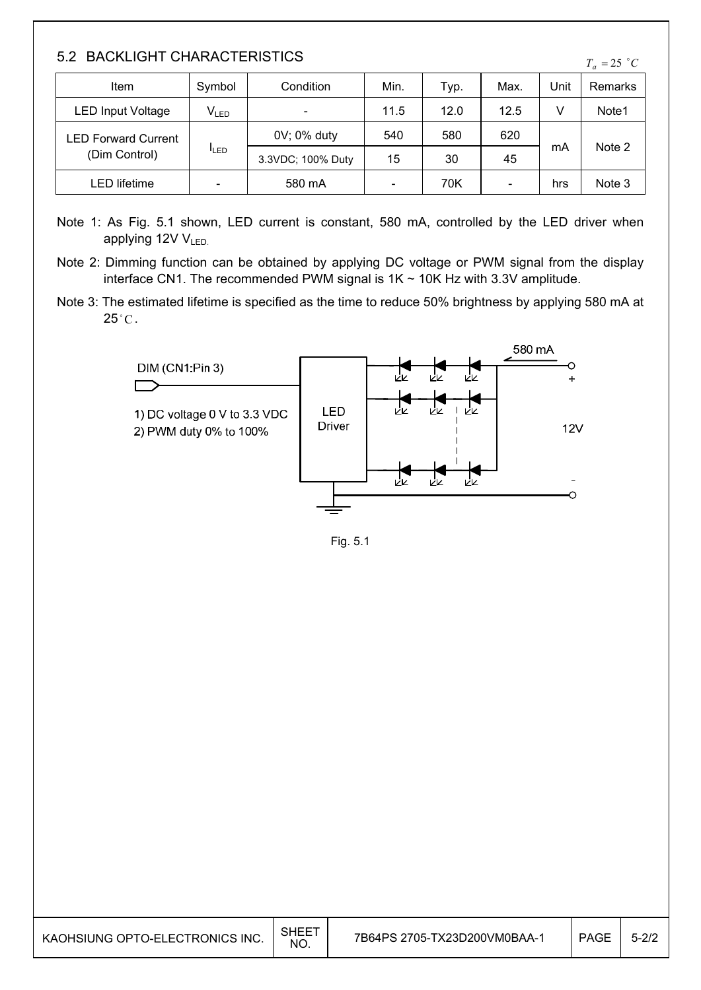### 5.2 BACKLIGHT CHARACTERISTICS

|  | ٠ |
|--|---|
|--|---|

| Item                       | Symbol                       | Condition                | Min.                     | Typ. | Max.                     | Unit | Remarks |
|----------------------------|------------------------------|--------------------------|--------------------------|------|--------------------------|------|---------|
| <b>LED Input Voltage</b>   | $V_{LED}$                    | $\overline{\phantom{0}}$ | 11.5                     | 12.0 | 12.5                     | v    | Note1   |
| <b>LED Forward Current</b> | <b>ILED</b>                  | 0V; 0% duty              | 540                      | 580  | 620                      | mA   | Note 2  |
| (Dim Control)              |                              | 3.3VDC; 100% Duty        | 15                       | 30   | 45                       |      |         |
| LED lifetime               | $\qquad \qquad \blacksquare$ | 580 mA                   | $\overline{\phantom{a}}$ | 70K  | $\overline{\phantom{a}}$ | hrs  | Note 3  |

- Note 1: As Fig. 5.1 shown, LED current is constant, 580 mA, controlled by the LED driver when applying  $12V$   $V_{LED}$
- Note 2: Dimming function can be obtained by applying DC voltage or PWM signal from the display interface CN1. The recommended PWM signal is  $1K \sim 10K$  Hz with 3.3V amplitude.
- Note 3: The estimated lifetime is specified as the time to reduce 50% brightness by applying 580 mA at  $25^{\circ}$ C.



Fig. 5.1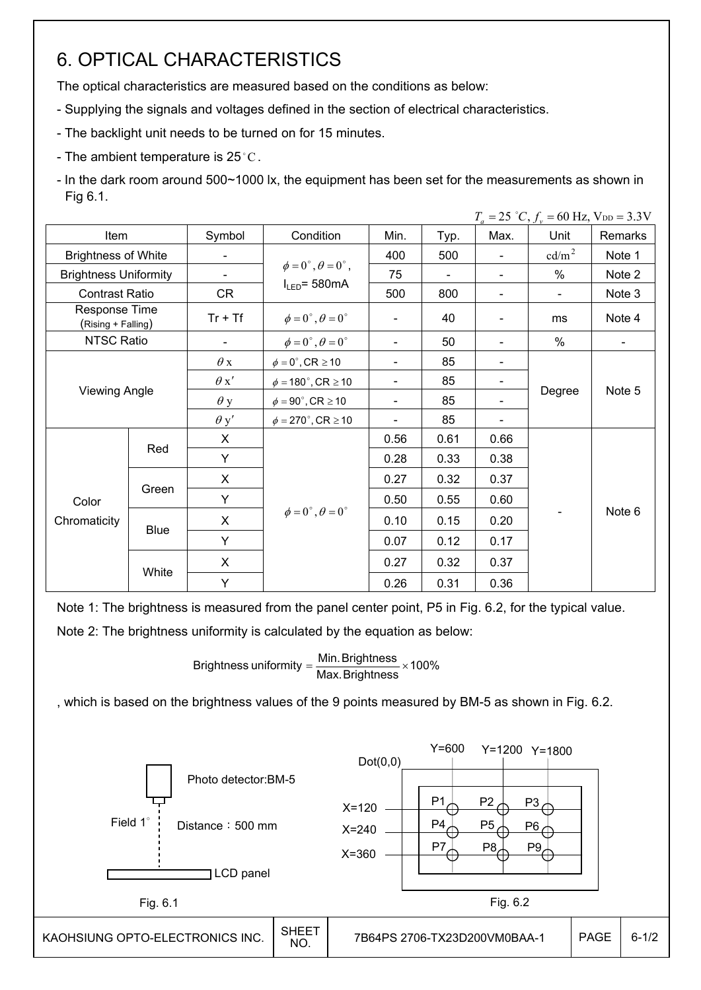## 6. OPTICAL CHARACTERISTICS

The optical characteristics are measured based on the conditions as below:

- Supplying the signals and voltages defined in the section of electrical characteristics.

- The backlight unit needs to be turned on for 15 minutes.
- The ambient temperature is  $25^{\circ}$ C.
- In the dark room around 500~1000 lx, the equipment has been set for the measurements as shown in Fig 6.1.

|                                     |                            |             |                                          |                          |                          |                          | $T_a = 25$ °C, $f_v = 60$ Hz, $V_{DD} = 3.3$ V |                |
|-------------------------------------|----------------------------|-------------|------------------------------------------|--------------------------|--------------------------|--------------------------|------------------------------------------------|----------------|
| Item                                |                            | Symbol      | Condition                                | Min.                     | Typ.                     | Max.                     | Unit                                           | Remarks        |
|                                     | <b>Brightness of White</b> |             |                                          | 400                      | 500                      |                          | $\text{cd/m}^2$                                | Note 1         |
| <b>Brightness Uniformity</b>        |                            |             | $\phi = 0^{\circ}, \theta = 0^{\circ}$ , | 75                       | $\overline{\phantom{a}}$ | $\overline{\phantom{a}}$ | $\%$                                           | Note 2         |
| <b>Contrast Ratio</b>               |                            | CR          | $I_{LED}$ = 580mA                        | 500                      | 800                      |                          | $\blacksquare$                                 | Note 3         |
| Response Time<br>(Rising + Falling) |                            | $Tr + Tf$   | $\phi = 0^{\circ}, \theta = 0^{\circ}$   | -                        | 40                       |                          | ms                                             | Note 4         |
| <b>NTSC Ratio</b>                   |                            |             | $\phi = 0^{\circ}, \theta = 0^{\circ}$   | $\blacksquare$           | 50                       |                          | $\%$                                           | $\blacksquare$ |
|                                     |                            | $\theta$ x  | $\phi = 0^\circ$ , CR $\geq 10$          | $\overline{\phantom{0}}$ | 85                       |                          |                                                | Note 5         |
|                                     |                            | $\theta x'$ | $\phi = 180^\circ$ , CR $\geq 10$        | $\overline{\phantom{0}}$ | 85                       |                          |                                                |                |
| <b>Viewing Angle</b>                |                            | $\theta$ y  | $\phi = 90^{\circ}$ , CR $\geq 10$       | -                        | 85                       |                          | Degree                                         |                |
|                                     |                            | $\theta$ y' | $\phi = 270^\circ$ , CR $\geq 10$        | $\overline{a}$           | 85                       |                          |                                                |                |
|                                     |                            | X           |                                          | 0.56                     | 0.61                     | 0.66                     |                                                |                |
|                                     | Red                        | Y           |                                          | 0.28                     | 0.33                     | 0.38                     |                                                |                |
|                                     |                            | X           |                                          | 0.27                     | 0.32                     | 0.37                     |                                                |                |
| Color                               | Green                      | Y           |                                          | 0.50                     | 0.55                     | 0.60                     |                                                |                |
| Chromaticity                        |                            | X           | $\phi = 0^{\circ}, \theta = 0^{\circ}$   | 0.10                     | 0.15                     | 0.20                     |                                                | Note 6         |
|                                     | <b>Blue</b>                | Y           |                                          | 0.07                     | 0.12                     | 0.17                     |                                                |                |
|                                     |                            | X           |                                          | 0.27                     | 0.32                     | 0.37                     |                                                |                |
|                                     | White                      | Y           |                                          | 0.26                     | 0.31                     | 0.36                     |                                                |                |

Note 1: The brightness is measured from the panel center point, P5 in Fig. 6.2, for the typical value.

Note 2: The brightness uniformity is calculated by the equation as below:

Brightness uniformity 
$$
=
$$
  $\frac{\text{Min. Brightness}}{\text{Max. Brightness}} \times 100\%$ 

, which is based on the brightness values of the 9 points measured by BM-5 as shown in Fig. 6.2.

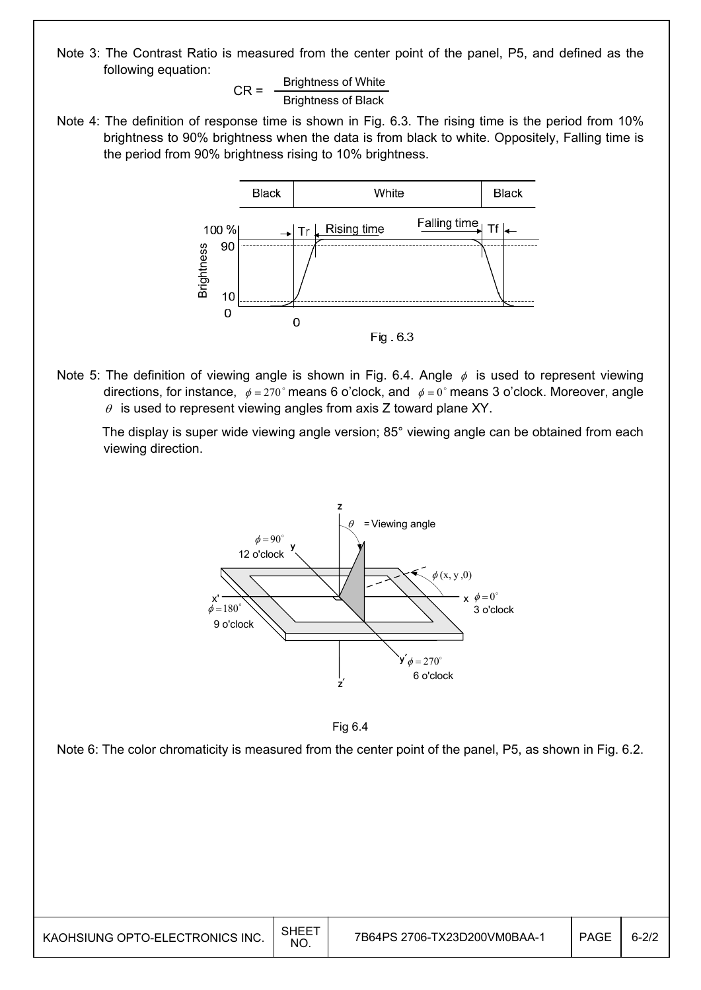Note 3: The Contrast Ratio is measured from the center point of the panel, P5, and defined as the following equation:

$$
CR = \frac{Brightness of White}{Brightness of Black}
$$

Note 4: The definition of response time is shown in Fig. 6.3. The rising time is the period from 10% brightness to 90% brightness when the data is from black to white. Oppositely, Falling time is the period from 90% brightness rising to 10% brightness.



Note 5: The definition of viewing angle is shown in Fig. 6.4. Angle  $\phi$  is used to represent viewing directions, for instance,  $\phi = 270^\circ$  means 6 o'clock, and  $\phi = 0^\circ$  means 3 o'clock. Moreover, angle  $\theta$  is used to represent viewing angles from axis Z toward plane XY.

 The display is super wide viewing angle version; 85° viewing angle can be obtained from each viewing direction.





Note 6: The color chromaticity is measured from the center point of the panel, P5, as shown in Fig. 6.2.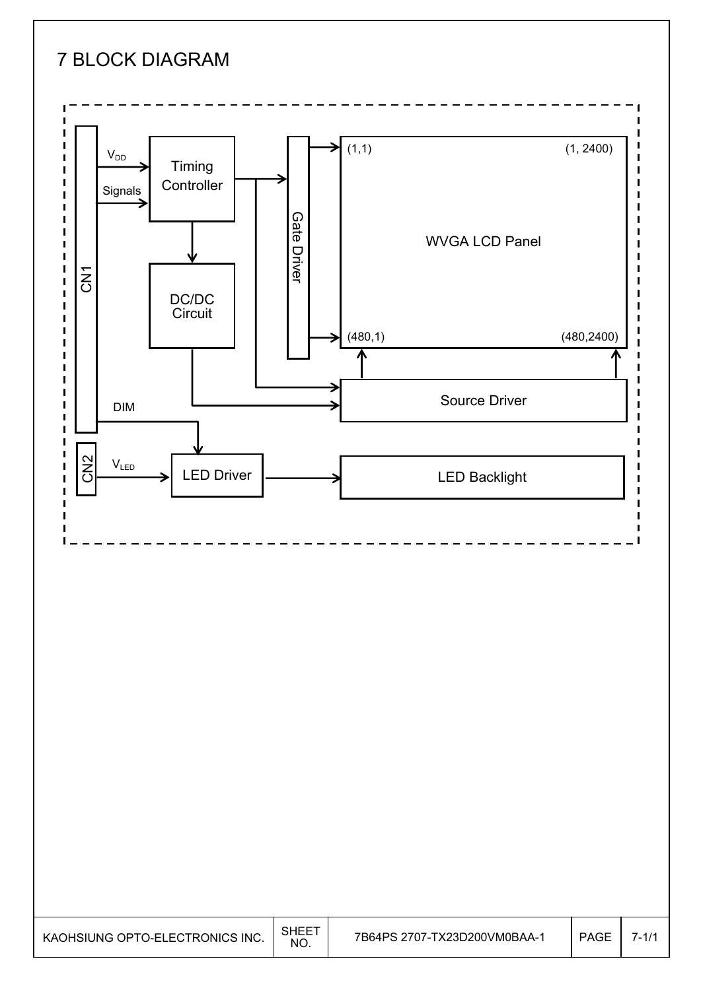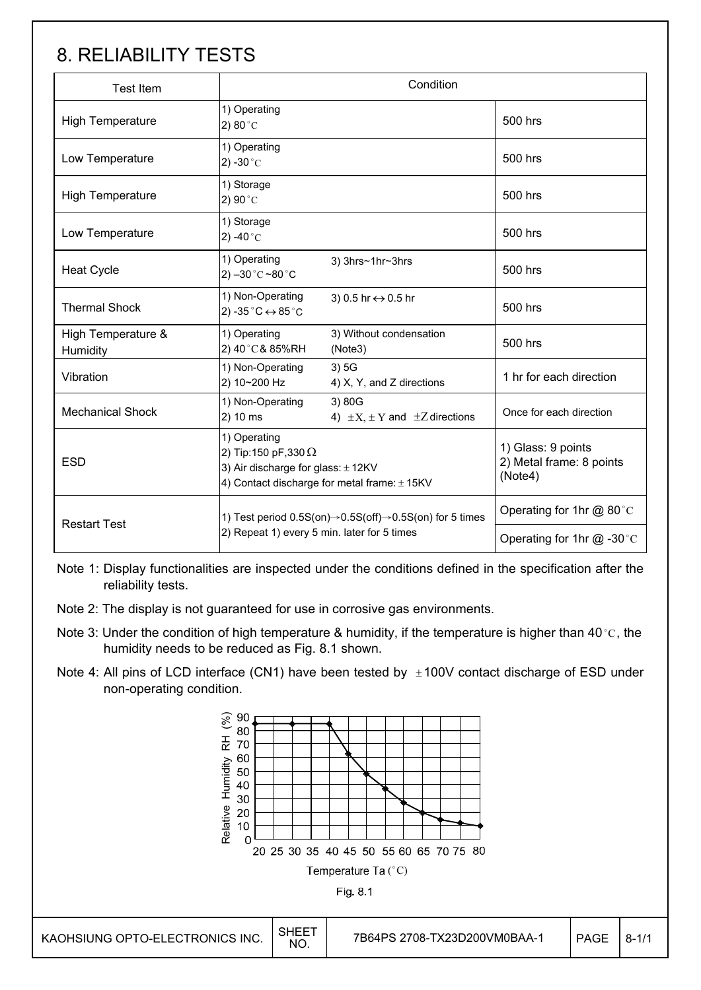## 8. RELIABILITY TESTS

| <b>Test Item</b>               |                                                                                                                                          | Condition                                                                        |                                                           |  |
|--------------------------------|------------------------------------------------------------------------------------------------------------------------------------------|----------------------------------------------------------------------------------|-----------------------------------------------------------|--|
| <b>High Temperature</b>        | 1) Operating<br>2) $80^{\circ}$ C                                                                                                        |                                                                                  | 500 hrs                                                   |  |
| Low Temperature                | 1) Operating<br>$2) -30$ °C                                                                                                              |                                                                                  | 500 hrs                                                   |  |
| <b>High Temperature</b>        | 1) Storage<br>2) 90 $^{\circ}$ C                                                                                                         |                                                                                  | 500 hrs                                                   |  |
| Low Temperature                | 1) Storage<br>2) -40 $^{\circ}$ C                                                                                                        |                                                                                  | 500 hrs                                                   |  |
| <b>Heat Cycle</b>              | 1) Operating<br>$2) -30^{\circ}$ C ~80 $^{\circ}$ C                                                                                      | 3) 3hrs~1hr~3hrs                                                                 | 500 hrs                                                   |  |
| <b>Thermal Shock</b>           | 1) Non-Operating<br>2) -35 $^{\circ}$ C $\leftrightarrow$ 85 $^{\circ}$ C                                                                | 3) 0.5 hr $\leftrightarrow$ 0.5 hr                                               | 500 hrs                                                   |  |
| High Temperature &<br>Humidity | 1) Operating<br>2) 40°C& 85%RH                                                                                                           | 3) Without condensation<br>(Note3)                                               | 500 hrs                                                   |  |
| Vibration                      | 1) Non-Operating<br>2) 10~200 Hz                                                                                                         | 3)5G<br>4) X, Y, and Z directions                                                | 1 hr for each direction                                   |  |
| <b>Mechanical Shock</b>        | 1) Non-Operating<br>2) 10 ms                                                                                                             | 3) 80G<br>4) $\pm X$ , $\pm Y$ and $\pm Z$ directions                            | Once for each direction                                   |  |
| <b>ESD</b>                     | 1) Operating<br>2) Tip:150 pF,330 $\Omega$<br>3) Air discharge for glass: $\pm$ 12KV<br>4) Contact discharge for metal frame: $\pm$ 15KV |                                                                                  | 1) Glass: 9 points<br>2) Metal frame: 8 points<br>(Note4) |  |
|                                |                                                                                                                                          | 1) Test period $0.5S(0n) \rightarrow 0.5S(0ff) \rightarrow 0.5S(0n)$ for 5 times |                                                           |  |
| <b>Restart Test</b>            | 2) Repeat 1) every 5 min. later for 5 times                                                                                              |                                                                                  | Operating for 1hr $@ -30$ °C                              |  |

Note 1: Display functionalities are inspected under the conditions defined in the specification after the reliability tests.

- Note 2: The display is not guaranteed for use in corrosive gas environments.
- Note 3: Under the condition of high temperature & humidity, if the temperature is higher than 40 °C, the humidity needs to be reduced as Fig. 8.1 shown.
- Note 4: All pins of LCD interface (CN1) have been tested by  $\pm 100V$  contact discharge of ESD under non-operating condition.

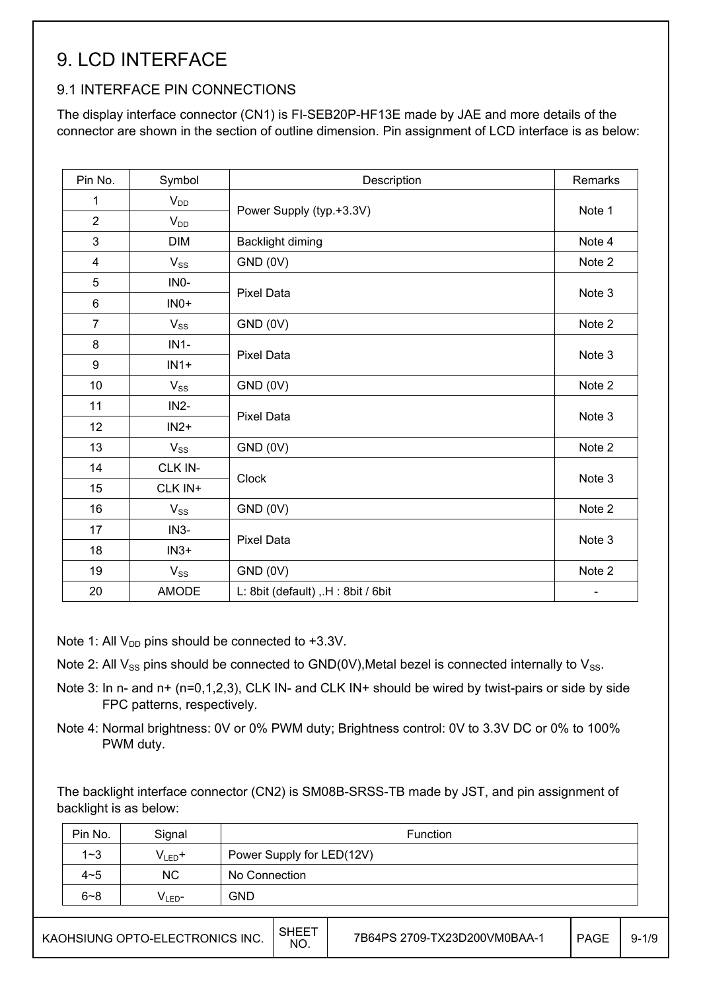## 9. LCD INTERFACE

#### 9.1 INTERFACE PIN CONNECTIONS

The display interface connector (CN1) is FI-SEB20P-HF13E made by JAE and more details of the connector are shown in the section of outline dimension. Pin assignment of LCD interface is as below:

| Pin No.        | Symbol       | Description                       | Remarks                  |  |
|----------------|--------------|-----------------------------------|--------------------------|--|
| 1              | $V_{DD}$     |                                   | Note 1                   |  |
| $\overline{2}$ | $V_{DD}$     | Power Supply (typ.+3.3V)          |                          |  |
| 3              | <b>DIM</b>   | Backlight diming                  | Note 4                   |  |
| $\overline{4}$ | $V_{SS}$     | GND (0V)                          | Note 2                   |  |
| 5              | INO-         |                                   |                          |  |
| $\,6\,$        | $INO+$       | <b>Pixel Data</b>                 | Note 3                   |  |
| $\overline{7}$ | $V_{SS}$     | GND (0V)                          | Note 2                   |  |
| 8              | $IN1-$       |                                   |                          |  |
| 9              | $IN1+$       | <b>Pixel Data</b>                 | Note 3                   |  |
| 10             | $V_{SS}$     | GND (0V)                          | Note 2                   |  |
| 11             | $IN2-$       |                                   |                          |  |
| 12             | $IN2+$       | <b>Pixel Data</b>                 | Note 3                   |  |
| 13             | $V_{SS}$     | GND (0V)                          | Note 2                   |  |
| 14             | CLK IN-      | <b>Clock</b>                      |                          |  |
| 15             | CLK IN+      |                                   | Note 3                   |  |
| 16             | $V_{SS}$     | GND (0V)                          | Note 2                   |  |
| 17             | $IN3-$       |                                   |                          |  |
| 18             | $IN3+$       | <b>Pixel Data</b>                 | Note 3                   |  |
| 19             | $V_{SS}$     | GND (0V)                          | Note 2                   |  |
| 20             | <b>AMODE</b> | L: 8bit (default), H: 8bit / 6bit | $\overline{\phantom{a}}$ |  |

Note 1: All  $V_{DD}$  pins should be connected to +3.3V.

Note 2: All  $V_{SS}$  pins should be connected to GND(0V), Metal bezel is connected internally to  $V_{SS}$ .

- Note 3: In n- and n+ (n=0,1,2,3), CLK IN- and CLK IN+ should be wired by twist-pairs or side by side FPC patterns, respectively.
- Note 4: Normal brightness: 0V or 0% PWM duty; Brightness control: 0V to 3.3V DC or 0% to 100% PWM duty.

The backlight interface connector (CN2) is SM08B-SRSS-TB made by JST, and pin assignment of backlight is as below:

| Pin No. | Signal      | Function                  |
|---------|-------------|---------------------------|
| $1 - 3$ | $V_{LED}$ + | Power Supply for LED(12V) |
| $4 - 5$ | <b>NC</b>   | No Connection             |
| $6 - 8$ | $V_{LED}$ - | <b>GND</b>                |
|         |             |                           |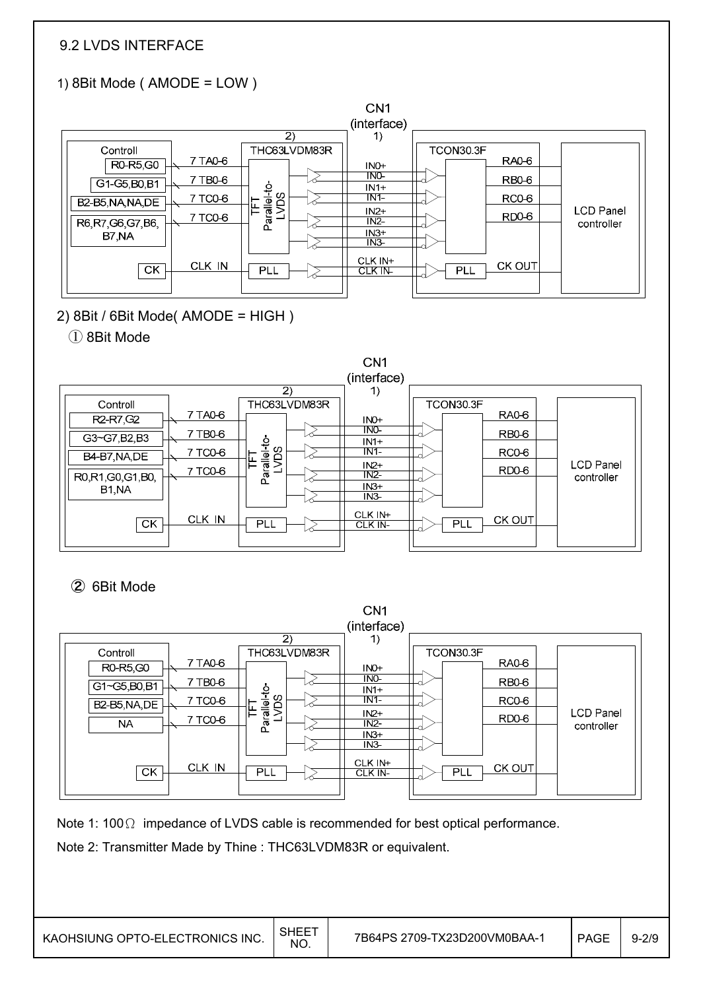### 9.2 LVDS INTERFACE

## 1) 8Bit Mode ( AMODE = LOW )



2) 8Bit / 6Bit Mode( AMODE = HIGH )

#### ① 8Bit Mode



### ② 6Bit Mode

|             |         |                      | CN1                       |                    |                                |
|-------------|---------|----------------------|---------------------------|--------------------|--------------------------------|
|             |         |                      | (interface)               |                    |                                |
|             |         | 2)                   | 1)                        |                    |                                |
| Controll    |         | THC63LVDM83R         |                           | TCON30.3F          |                                |
| R0-R5,G0    | 7 TA0-6 |                      | INO+                      | RA0-6              |                                |
| G1~G5,B0,B1 | 7 TB0-6 |                      | <b>INO-</b><br>$IN1+$     | RB <sub>0</sub> -6 |                                |
| B2-B5,NA,DE | 7 TC0-6 | Parallel-to-<br>LVDS | $IN1 -$                   | RC <sub>0</sub> -6 |                                |
| NA          | 7 TC0-6 |                      | $IN2+$<br>INZ             | RD <sub>0</sub> -6 | <b>LCD Panel</b><br>controller |
|             |         |                      | $IN3+$<br>IN <sub>3</sub> |                    |                                |
| <b>CK</b>   | CLK IN  | PLL                  | CLK IN+<br>CLK IN         | CK OUT<br>PLL      |                                |
|             |         |                      |                           |                    |                                |

 $-$ 

Note 1:  $100\Omega$  impedance of LVDS cable is recommended for best optical performance.

Note 2: Transmitter Made by Thine : THC63LVDM83R or equivalent.

KAOHSIUNG OPTO-ELECTRONICS INC.  $\Big|\substack{\text{SHEET} \ \text{NO.}}$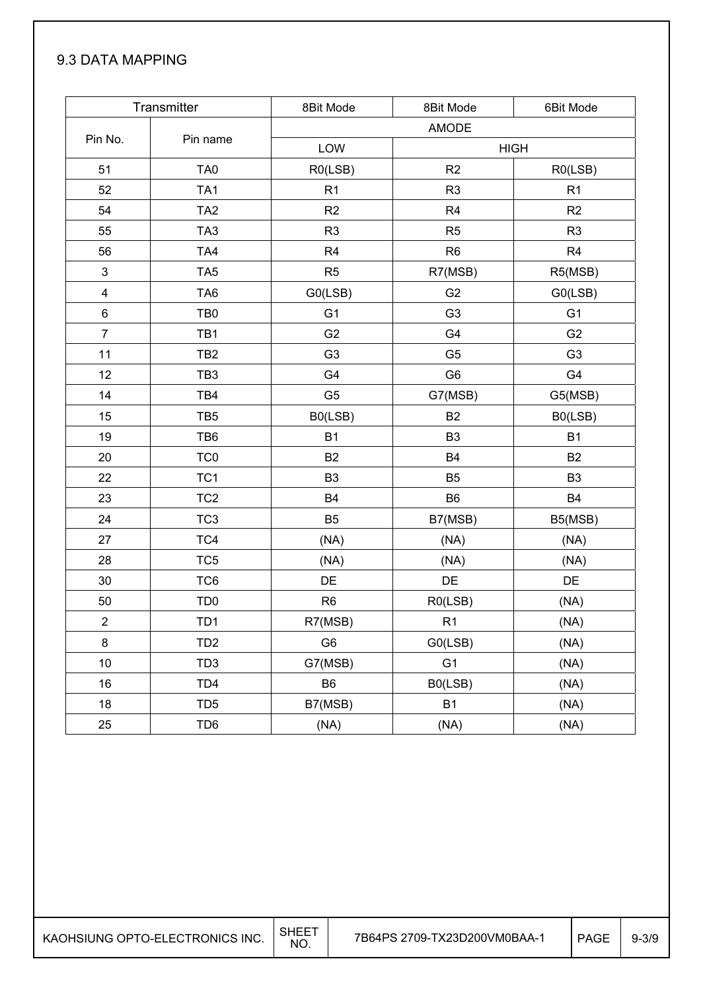### 9.3 DATA MAPPING

|                | Transmitter     | 8Bit Mode      | 8Bit Mode      | 6Bit Mode      |
|----------------|-----------------|----------------|----------------|----------------|
|                |                 |                | AMODE          |                |
| Pin No.        | Pin name        | LOW            |                | <b>HIGH</b>    |
| 51             | TA <sub>0</sub> | R0(LSB)        | R2             | R0(LSB)        |
| 52             | TA <sub>1</sub> | R1             | R <sub>3</sub> | R1             |
| 54             | TA <sub>2</sub> | R <sub>2</sub> | R <sub>4</sub> | R2             |
| 55             | TA <sub>3</sub> | R <sub>3</sub> | R <sub>5</sub> | R <sub>3</sub> |
| 56             | TA4             | R <sub>4</sub> | R <sub>6</sub> | R <sub>4</sub> |
| 3              | TA <sub>5</sub> | R <sub>5</sub> | R7(MSB)        | R5(MSB)        |
| 4              | TA <sub>6</sub> | G0(LSB)        | G <sub>2</sub> | G0(LSB)        |
| 6              | TB <sub>0</sub> | G <sub>1</sub> | G <sub>3</sub> | G <sub>1</sub> |
| $\overline{7}$ | TB1             | G <sub>2</sub> | G4             | G <sub>2</sub> |
| 11             | TB <sub>2</sub> | G <sub>3</sub> | G <sub>5</sub> | G <sub>3</sub> |
| 12             | TB <sub>3</sub> | G4             | G <sub>6</sub> | G4             |
| 14             | TB4             | G <sub>5</sub> | G7(MSB)        | G5(MSB)        |
| 15             | TB <sub>5</sub> | B0(LSB)        | <b>B2</b>      | B0(LSB)        |
| 19             | TB6             | <b>B1</b>      | B <sub>3</sub> | B <sub>1</sub> |
| 20             | TC <sub>0</sub> | <b>B2</b>      | <b>B4</b>      | <b>B2</b>      |
| 22             | TC <sub>1</sub> | B <sub>3</sub> | B <sub>5</sub> | B <sub>3</sub> |
| 23             | TC <sub>2</sub> | <b>B4</b>      | B <sub>6</sub> | <b>B4</b>      |
| 24             | TC <sub>3</sub> | B <sub>5</sub> | B7(MSB)        | B5(MSB)        |
| 27             | TC4             | (NA)           | (NA)           | (NA)           |
| 28             | TC <sub>5</sub> | (NA)           | (NA)           | (NA)           |
| 30             | TC6             | DE             | DE             | DE             |
| 50             | TD <sub>0</sub> | R <sub>6</sub> | R0(LSB)        | (NA)           |
| $\overline{2}$ | TD <sub>1</sub> | R7(MSB)        | R1             | (NA)           |
| 8              | TD <sub>2</sub> | G <sub>6</sub> | G0(LSB)        | (NA)           |
| 10             | TD <sub>3</sub> | G7(MSB)        | G <sub>1</sub> | (NA)           |
| 16             | TD <sub>4</sub> | B <sub>6</sub> | B0(LSB)        | (NA)           |
| 18             | TD <sub>5</sub> | B7(MSB)        | <b>B1</b>      | (NA)           |
| 25             | TD6             | (NA)           | (NA)           | (NA)           |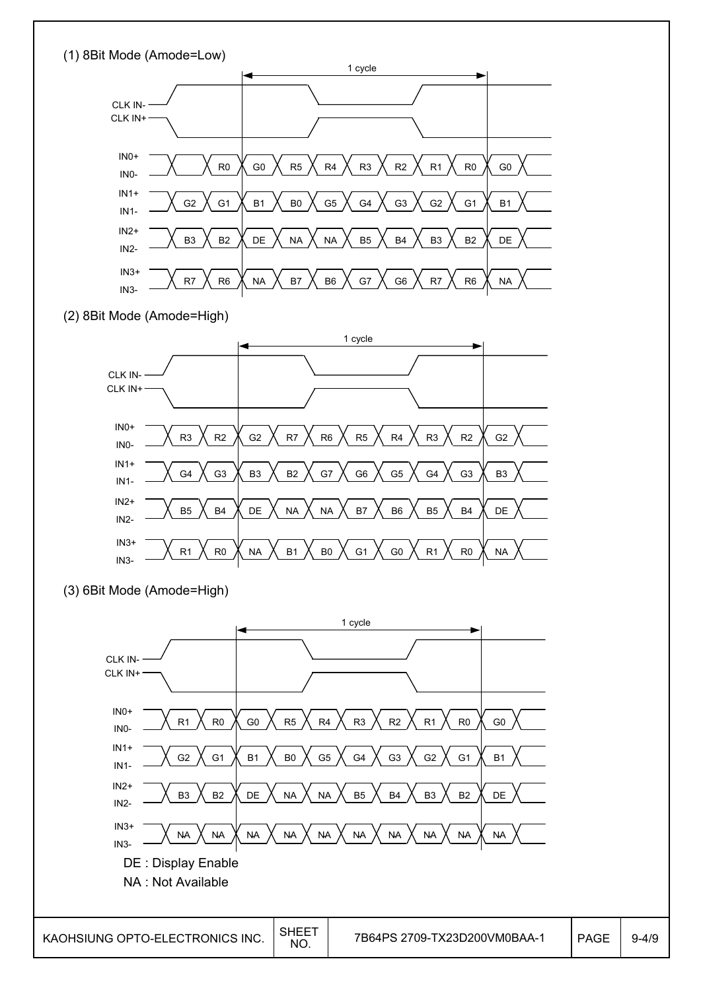

B3  $\bigwedge$  B2  $\bigwedge$  DE  $\bigwedge$  NA  $\bigwedge$  NA  $\bigwedge$  B5  $\bigwedge$  B4  $\bigwedge$  B3  $\bigwedge$  B2  $\bigwedge$  DE

NA NA NA NA NA NA NA NA NA NA

 $\overline{1}$ N3+  $\overline{1}$   $\overline{1}$   $\overline{1}$   $\overline{1}$   $\overline{1}$   $\overline{1}$   $\overline{1}$   $\overline{1}$   $\overline{1}$   $\overline{1}$   $\overline{1}$   $\overline{1}$   $\overline{1}$   $\overline{1}$   $\overline{1}$   $\overline{1}$   $\overline{1}$   $\overline{1}$   $\overline{1}$   $\overline{1}$   $\overline{1}$   $\overline{1}$   $\overline{1}$   $\$ 

DE : Display Enable NA : Not Available

IN1- IN2+ IN2-

IN3-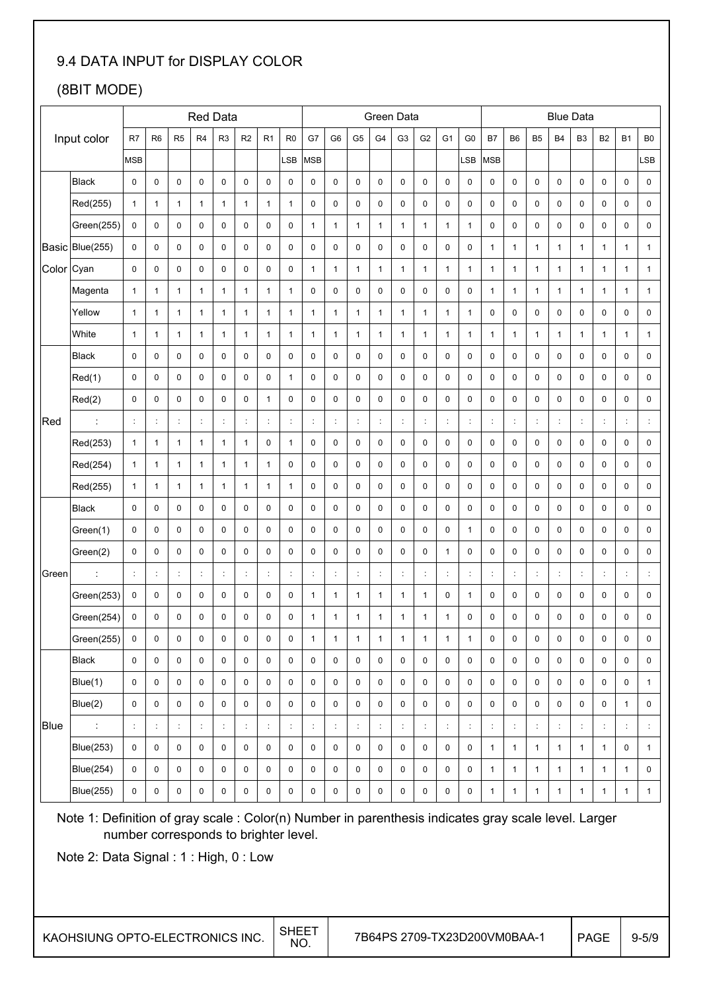### 9.4 DATA INPUT for DISPLAY COLOR

## (8BIT MODE)

|       |                  |                |                     |                |                | <b>Red Data</b>  |                      |                      |                |                |                |                | Green Data     |                |                      |                |                |                |                           |                | <b>Blue Data</b> |                |                |                      |                  |
|-------|------------------|----------------|---------------------|----------------|----------------|------------------|----------------------|----------------------|----------------|----------------|----------------|----------------|----------------|----------------|----------------------|----------------|----------------|----------------|---------------------------|----------------|------------------|----------------|----------------|----------------------|------------------|
|       | Input color      | R7             | R <sub>6</sub>      | R <sub>5</sub> | R4             | R <sub>3</sub>   | R <sub>2</sub>       | R <sub>1</sub>       | R <sub>0</sub> | G7             | G <sub>6</sub> | G <sub>5</sub> | G <sub>4</sub> | G <sub>3</sub> | G <sub>2</sub>       | G <sub>1</sub> | G <sub>0</sub> | <b>B7</b>      | B <sub>6</sub>            | B <sub>5</sub> | <b>B4</b>        | B <sub>3</sub> | B <sub>2</sub> | <b>B1</b>            | B <sub>0</sub>   |
|       |                  | <b>MSB</b>     |                     |                |                |                  |                      |                      | LSB            | <b>MSB</b>     |                |                |                |                |                      |                | _SB            | MSB            |                           |                |                  |                |                |                      | LSB              |
|       | <b>Black</b>     | 0              | 0                   | $\mathbf 0$    | 0              | 0                | 0                    | 0                    | 0              | 0              | 0              | 0              | 0              | 0              | 0                    | 0              | 0              | 0              | 0                         | 0              | 0                | 0              | 0              | 0                    | 0                |
|       | Red(255)         | $\mathbf{1}$   | $\mathbf{1}$        | $\mathbf{1}$   | $\mathbf{1}$   | $\mathbf{1}$     | $\mathbf{1}$         | 1                    | $\mathbf{1}$   | 0              | 0              | 0              | 0              | 0              | $\mathbf 0$          | 0              | $\mathbf 0$    | 0              | 0                         | $\mathbf 0$    | $\pmb{0}$        | 0              | 0              | 0                    | $\pmb{0}$        |
|       | Green(255)       | $\pmb{0}$      | 0                   | $\mathbf 0$    | 0              | 0                | $\mathbf 0$          | $\pmb{0}$            | 0              | $\mathbf{1}$   | $\mathbf{1}$   | $\mathbf{1}$   | 1              | $\mathbf{1}$   | $\mathbf{1}$         | 1              | 1              | 0              | 0                         | $\mathbf 0$    | $\pmb{0}$        | 0              | 0              | 0                    | 0                |
|       | Basic Blue(255)  | 0              | 0                   | $\pmb{0}$      | 0              | 0                | 0                    | 0                    | 0              | 0              | $\pmb{0}$      | 0              | 0              | 0              | $\pmb{0}$            | 0              | 0              | $\mathbf{1}$   | $\mathbf{1}$              | 1              | $\mathbf{1}$     | $\mathbf{1}$   | 1              | $\mathbf{1}$         | $\mathbf{1}$     |
| Color | Cyan             | 0              | $\pmb{0}$           | $\pmb{0}$      | 0              | 0                | $\bf 0$              | 0                    | 0              | $\mathbf{1}$   | $\mathbf{1}$   | $\mathbf{1}$   | $\mathbf{1}$   | $\mathbf{1}$   | $\mathbf{1}$         | $\mathbf{1}$   | $\mathbf{1}$   | $\mathbf{1}$   | $\mathbf{1}$              | $\mathbf{1}$   | $\mathbf{1}$     | $\mathbf{1}$   | $\mathbf{1}$   | $\mathbf{1}$         | $\mathbf{1}$     |
|       | Magenta          | $\mathbf{1}$   | $\mathbf{1}$        | $\mathbf{1}$   | $\mathbf{1}$   | $\mathbf{1}$     | $\mathbf{1}$         | $\mathbf{1}$         | $\mathbf{1}$   | 0              | $\pmb{0}$      | 0              | 0              | 0              | $\pmb{0}$            | 0              | 0              | $\mathbf{1}$   | $\mathbf{1}$              | 1              | $\mathbf{1}$     | $\mathbf{1}$   | 1              | $\mathbf{1}$         | $\mathbf{1}$     |
|       | Yellow           | $\mathbf{1}$   | $\mathbf{1}$        | $\mathbf{1}$   | $\mathbf{1}$   | $\mathbf{1}$     | $\mathbf{1}$         | $\mathbf{1}$         | $\mathbf{1}$   | $\mathbf{1}$   | $\mathbf{1}$   | $\mathbf{1}$   | $\mathbf{1}$   | $\mathbf{1}$   | $\mathbf{1}$         | $\mathbf{1}$   | $\mathbf{1}$   | 0              | 0                         | 0              | $\pmb{0}$        | 0              | 0              | 0                    | $\pmb{0}$        |
|       | White            | $\mathbf{1}$   | $\mathbf{1}$        | $\mathbf{1}$   | $\mathbf{1}$   | $\mathbf{1}$     | $\mathbf{1}$         | $\mathbf{1}$         | $\mathbf{1}$   | $\mathbf{1}$   | $\mathbf{1}$   | $\mathbf{1}$   | $\mathbf{1}$   | $\mathbf{1}$   | $\mathbf{1}$         | $\mathbf{1}$   | $\mathbf{1}$   | $\mathbf{1}$   | $\mathbf{1}$              | $\mathbf{1}$   | $\mathbf{1}$     | $\mathbf{1}$   | $\mathbf{1}$   | $\mathbf{1}$         | $\mathbf{1}$     |
|       | <b>Black</b>     | 0              | 0                   | $\mathbf 0$    | 0              | 0                | $\mathbf 0$          | $\pmb{0}$            | 0              | $\pmb{0}$      | $\pmb{0}$      | 0              | 0              | 0              | 0                    | 0              | 0              | 0              | 0                         | 0              | $\pmb{0}$        | 0              | 0              | 0                    | $\pmb{0}$        |
|       | Red(1)           | 0              | 0                   | 0              | 0              | 0                | 0                    | 0                    | $\mathbf{1}$   | 0              | 0              | 0              | 0              | 0              | $\mathbf 0$          | 0              | 0              | 0              | 0                         | 0              | $\pmb{0}$        | 0              | 0              | 0                    | 0                |
|       | Red(2)           | $\mathbf 0$    | $\mathbf 0$         | $\mathbf 0$    | $\mathbf 0$    | 0                | $\mathbf 0$          | $\mathbf{1}$         | 0              | $\mathbf 0$    | $\mathbf 0$    | 0              | 0              | $\mathbf 0$    | $\pmb{0}$            | $\mathbf 0$    | $\mathbf 0$    | 0              | $\mathbf 0$               | $\mathbf 0$    | $\pmb{0}$        | $\mathbf 0$    | 0              | $\mathbf 0$          | $\pmb{0}$        |
| Red   |                  | $\ddot{\cdot}$ | ÷                   | ċ              | ċ              | ÷                | ċ                    | $\ddot{\phantom{a}}$ | ÷              | $\ddot{\cdot}$ | d              | ÷              | ċ              | t              | $\ddot{\phantom{a}}$ | ÷              | ÷              | $\ddot{\cdot}$ | $\ddot{\cdot}$            |                | $\ddot{\cdot}$   | ÷              |                | ÷                    | ÷                |
|       | Red(253)         | $\mathbf{1}$   | $\mathbf{1}$        | $\mathbf{1}$   | $\mathbf{1}$   | $\mathbf{1}$     | $\mathbf{1}$         | 0                    | $\mathbf{1}$   | 0              | 0              | 0              | 0              | 0              | 0                    | 0              | 0              | 0              | 0                         | 0              | 0                | 0              | 0              | 0                    | 0                |
|       | Red(254)         | $\mathbf{1}$   | $\mathbf{1}$        | $\mathbf{1}$   | $\mathbf{1}$   | $\mathbf{1}$     | $\mathbf{1}$         | 1                    | 0              | $\pmb{0}$      | 0              | 0              | 0              | 0              | $\mathbf 0$          | 0              | $\pmb{0}$      | 0              | 0                         | 0              | $\pmb{0}$        | 0              | 0              | 0                    | $\pmb{0}$        |
|       | Red(255)         | $\mathbf{1}$   | $\mathbf{1}$        | $\mathbf{1}$   | 1              | $\mathbf{1}$     | $\mathbf{1}$         | 1                    | $\mathbf{1}$   | 0              | 0              | 0              | 0              | 0              | 0                    | 0              | 0              | 0              | 0                         | 0              | $\pmb{0}$        | 0              | 0              | 0                    | $\pmb{0}$        |
|       | <b>Black</b>     | 0              | $\pmb{0}$           | $\mathbf 0$    | 0              | 0                | $\bf 0$              | 0                    | 0              | 0              | $\pmb{0}$      | 0              | 0              | 0              | $\pmb{0}$            | 0              | $\pmb{0}$      | 0              | 0                         | 0              | $\pmb{0}$        | 0              | 0              | 0                    | 0                |
|       | Green(1)         | 0              | $\mathbf 0$         | $\pmb{0}$      | 0              | 0                | 0                    | 0                    | 0              | $\pmb{0}$      | $\pmb{0}$      | 0              | 0              | $\pmb{0}$      | $\mathbf 0$          | 0              | $\mathbf{1}$   | 0              | 0                         | $\pmb{0}$      | $\pmb{0}$        | 0              | 0              | 0                    | 0                |
|       | Green(2)         | $\mathbf 0$    | 0                   | $\pmb{0}$      | 0              | 0                | $\bf 0$              | $\pmb{0}$            | $\mathsf 0$    | $\mathbf 0$    | $\pmb{0}$      | 0              | 0              | $\pmb{0}$      | 0                    | $\mathbf{1}$   | $\pmb{0}$      | $\pmb{0}$      | 0                         | $\mathbf 0$    | $\pmb{0}$        | 0              | $\pmb{0}$      | 0                    | $\pmb{0}$        |
| Green |                  | $\ddot{\cdot}$ | ÷                   | $\ddot{\cdot}$ | $\ddot{\cdot}$ | ÷                | $\ddot{\cdot}$       | $\ddot{\cdot}$       | $\ddot{\cdot}$ | $\ddot{\cdot}$ | ċ              | $\ddot{\cdot}$ | $\ddot{\cdot}$ | ċ              | ÷                    | $\ddot{\cdot}$ | $\ddot{\cdot}$ | ÷              | ÷                         |                | $\ddot{\cdot}$   | ÷              | t              | $\ddot{\phantom{a}}$ | ÷                |
|       | Green(253)       | $\pmb{0}$      | $\pmb{0}$           | $\mathbf 0$    | 0              | 0                | $\bf 0$              | 0                    | 0              | $\mathbf{1}$   | $\mathbf{1}$   | $\mathbf{1}$   | $\mathbf{1}$   | $\mathbf{1}$   | $\mathbf{1}$         | 0              | $\mathbf{1}$   | 0              | 0                         | 0              | $\pmb{0}$        | 0              | $\pmb{0}$      | 0                    | $\pmb{0}$        |
|       | Green(254)       | 0              | 0                   | $\mathbf 0$    | 0              | 0                | $\mathbf 0$          | 0                    | 0              | $\mathbf{1}$   | $\mathbf{1}$   | 1              | 1              | 1              | 1                    | 1              | 0              | $\mathbf 0$    | 0                         | 0              | 0                | 0              | 0              | 0                    | 0                |
|       | Green(255)       | $\mathsf 0$    | 0                   | $\pmb{0}$      | 0              | 0                | $\mathbf 0$          | 0                    | $\pmb{0}$      | $\mathbf{1}$   | $\mathbf{1}$   | $\mathbf{1}$   | $\mathbf{1}$   | $\mathbf{1}$   | 1                    | $\mathbf{1}$   | $\mathbf{1}$   | $\pmb{0}$      | 0                         | $\pmb{0}$      | 0                | $\pmb{0}$      | 0              | 0                    | 0                |
|       | <b>Black</b>     | $\mathbf 0$    | $\mathsf{O}\xspace$ | $\pmb{0}$      | 0              | $\mathsf{O}$     | $\pmb{0}$            | 0                    | 0              | $\mathsf 0$    | $\mathbf 0$    | 0              | 0              | $\pmb{0}$      | $\mathsf 0$          | $\mathsf 0$    | $\pmb{0}$      | 0              | 0                         | $\pmb{0}$      | $\mathsf 0$      | 0              | 0              | $\mathsf{O}$         | 0                |
|       | Blue(1)          | 0              | 0                   | $\pmb{0}$      | 0              | 0                | 0                    | 0                    | 0              | 0              | 0              | 0              | 0              | 0              | $\pmb{0}$            | 0              | 0              | 0              | 0                         | 0              | $\pmb{0}$        | 0              | 0              | 0                    | $\mathbf{1}$     |
|       | Blue(2)          | 0              | 0                   | $\pmb{0}$      | 0              | 0                | 0                    | 0                    | 0              | $\pmb{0}$      | 0              | 0              | 0              | 0              | $\mathbf 0$          | 0              | $\pmb{0}$      | 0              | 0                         | 0              | $\pmb{0}$        | 0              | 0              | $\mathbf{1}$         | 0                |
| Blue  | $\mathbb{C}$     | $\vdots$       | t,                  | $\ddot{\cdot}$ | t              | $\ddot{\ddot{}}$ | $\ddot{\phantom{a}}$ | $\ddot{\cdot}$       | ÷.             | ÷              | $\ddot{\cdot}$ | ÷,             | $\ddot{\cdot}$ | $\ddot{\cdot}$ | $\ddot{\phantom{a}}$ | ÷              | ÷              | t,             | $\mathbb{C}^{\mathbb{Z}}$ |                | ÷                | t,             | $\ddot{\cdot}$ | $\vdots$             | $\ddot{\ddot{}}$ |
|       | <b>Blue(253)</b> | 0              | 0                   | $\pmb{0}$      | 0              | 0                | 0                    | 0                    | 0              | $\pmb{0}$      | $\pmb{0}$      | 0              | 0              | $\pmb{0}$      | $\pmb{0}$            | 0              | $\pmb{0}$      | $\mathbf{1}$   | $\mathbf{1}$              | $\mathbf{1}$   | $\mathbf{1}$     | $\mathbf{1}$   | $\mathbf{1}$   | $\mathsf{O}\xspace$  | $\mathbf{1}$     |
|       | <b>Blue(254)</b> | 0              | $\pmb{0}$           | $\pmb{0}$      | 0              | 0                | 0                    | 0                    | 0              | 0              | $\pmb{0}$      | 0              | 0              | 0              | $\pmb{0}$            | 0              | $\pmb{0}$      | $\mathbf{1}$   | $\mathbf{1}$              | $\mathbf{1}$   | $\mathbf{1}$     | $\mathbf{1}$   | $\mathbf{1}$   | $\mathbf{1}$         | 0                |
|       | <b>Blue(255)</b> | 0              | $\mathsf 0$         | $\pmb{0}$      | 0              | 0                | 0                    | 0                    | 0              | 0              | 0              | 0              | 0              | $\pmb{0}$      | $\pmb{0}$            | 0              | $\pmb{0}$      | $\mathbf{1}$   | $\mathbf{1}$              | $\mathbf{1}$   | $\mathbf{1}$     | $\mathbf{1}$   | $\mathbf{1}$   | $\mathbf{1}$         | $\mathbf{1}$     |

Note 1: Definition of gray scale : Color(n) Number in parenthesis indicates gray scale level. Larger number corresponds to brighter level.

Note 2: Data Signal : 1 : High, 0 : Low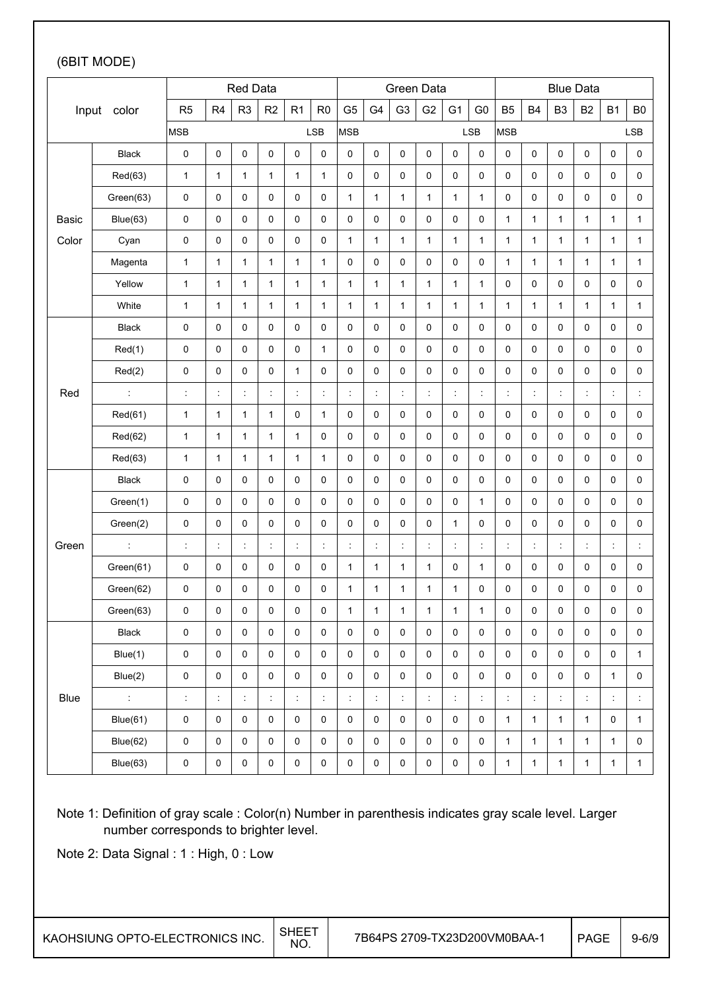### (6BIT MODE)

|       |                      |                      |                      | Red Data       |                      |              |                      |                |                      | Green Data           |                     |                      |                      |                |                     | <b>Blue Data</b>     |                      |                      |                      |
|-------|----------------------|----------------------|----------------------|----------------|----------------------|--------------|----------------------|----------------|----------------------|----------------------|---------------------|----------------------|----------------------|----------------|---------------------|----------------------|----------------------|----------------------|----------------------|
|       | Input color          | R <sub>5</sub>       | R <sub>4</sub>       | R <sub>3</sub> | R <sub>2</sub>       | R1           | R <sub>0</sub>       | G <sub>5</sub> | G4                   | G <sub>3</sub>       | G <sub>2</sub>      | G <sub>1</sub>       | G <sub>0</sub>       | <b>B5</b>      | B <sub>4</sub>      | B <sub>3</sub>       | <b>B2</b>            | <b>B1</b>            | B <sub>0</sub>       |
|       |                      | <b>MSB</b>           |                      |                |                      |              | <b>LSB</b>           | <b>MSB</b>     |                      |                      |                     |                      | <b>LSB</b>           | <b>MSB</b>     |                     |                      |                      |                      | LSB                  |
|       | <b>Black</b>         | 0                    | 0                    | $\pmb{0}$      | $\pmb{0}$            | 0            | 0                    | 0              | $\mathbf 0$          | 0                    | 0                   | 0                    | 0                    | $\pmb{0}$      | 0                   | 0                    | $\pmb{0}$            | 0                    | $\pmb{0}$            |
|       | Red(63)              | $\mathbf{1}$         | $\mathbf{1}$         | $\mathbf{1}$   | 1                    | 1            | $\mathbf{1}$         | 0              | $\mathbf 0$          | 0                    | 0                   | 0                    | 0                    | 0              | 0                   | 0                    | $\pmb{0}$            | 0                    | $\pmb{0}$            |
|       | Green(63)            | 0                    | 0                    | 0              | 0                    | 0            | 0                    | $\mathbf{1}$   | 1                    | $\mathbf{1}$         | $\mathbf{1}$        | $\mathbf{1}$         | 1                    | 0              | 0                   | 0                    | 0                    | 0                    | 0                    |
| Basic | Blue(63)             | $\pmb{0}$            | 0                    | $\pmb{0}$      | 0                    | 0            | 0                    | 0              | $\mathbf 0$          | $\mathbf 0$          | 0                   | 0                    | 0                    | $\mathbf{1}$   | 1                   | 1                    | $\mathbf{1}$         | 1                    | $\mathbf{1}$         |
| Color | Cyan                 | 0                    | 0                    | $\mathbf 0$    | 0                    | 0            | 0                    | 1              | $\mathbf{1}$         | $\mathbf{1}$         | $\mathbf{1}$        | $\mathbf{1}$         | $\mathbf{1}$         | $\mathbf{1}$   | $\mathbf{1}$        | $\mathbf{1}$         | $\mathbf{1}$         | $\mathbf{1}$         | $\mathbf{1}$         |
|       | Magenta              | $\mathbf{1}$         | $\mathbf{1}$         | $\mathbf{1}$   | $\mathbf{1}$         | $\mathbf{1}$ | $\mathbf{1}$         | 0              | 0                    | 0                    | 0                   | 0                    | 0                    | $\mathbf{1}$   | 1                   | $\mathbf{1}$         | $\mathbf{1}$         | $\mathbf{1}$         | $\mathbf{1}$         |
|       | Yellow               | $\mathbf{1}$         | $\mathbf{1}$         | $\mathbf{1}$   | 1                    | $\mathbf{1}$ | $\mathbf{1}$         | $\mathbf{1}$   | $\mathbf{1}$         | $\mathbf{1}$         | $\mathbf{1}$        | $\mathbf{1}$         | 1                    | $\pmb{0}$      | 0                   | 0                    | $\pmb{0}$            | 0                    | $\pmb{0}$            |
|       | White                | $\mathbf{1}$         | $\mathbf{1}$         | $\mathbf{1}$   | $\mathbf{1}$         | $\mathbf{1}$ | $\mathbf{1}$         | $\mathbf{1}$   | $\mathbf{1}$         | $\mathbf{1}$         | $\mathbf{1}$        | $\mathbf{1}$         | $\mathbf{1}$         | $\mathbf{1}$   | $\mathbf{1}$        | $\mathbf{1}$         | $\mathbf{1}$         | $\mathbf{1}$         | $\mathbf{1}$         |
|       | <b>Black</b>         | 0                    | 0                    | $\pmb{0}$      | $\pmb{0}$            | 0            | $\pmb{0}$            | 0              | 0                    | 0                    | 0                   | 0                    | 0                    | 0              | 0                   | 0                    | $\pmb{0}$            | 0                    | $\pmb{0}$            |
|       | Red(1)               | 0                    | 0                    | $\pmb{0}$      | $\pmb{0}$            | 0            | $\mathbf{1}$         | 0              | $\pmb{0}$            | $\mathsf{O}\xspace$  | 0                   | 0                    | 0                    | $\pmb{0}$      | 0                   | 0                    | $\pmb{0}$            | 0                    | $\pmb{0}$            |
|       | Red(2)               | 0                    | 0                    | 0              | 0                    | $\mathbf{1}$ | 0                    | $\pmb{0}$      | $\mathsf 0$          | $\mathsf{O}\xspace$  | 0                   | $\mathsf 0$          | 0                    | 0              | 0                   | 0                    | $\pmb{0}$            | 0                    | 0                    |
| Red   |                      | $\ddot{\phantom{a}}$ | $\ddot{\phantom{a}}$ | Ì              | ċ                    | t            | t                    | $\ddot{\cdot}$ | $\ddot{\cdot}$       | $\ddot{\phantom{a}}$ | t                   | t,                   | $\ddot{\phantom{a}}$ | $\ddot{\cdot}$ | ÷                   | İ,                   | ÷                    | $\ddot{\cdot}$       | $\ddot{\phantom{a}}$ |
|       | Red(61)              | $\mathbf{1}$         | $\mathbf{1}$         | $\mathbf{1}$   | 1                    | 0            | $\mathbf{1}$         | 0              | 0                    | 0                    | 0                   | 0                    | 0                    | 0              | 0                   | 0                    | $\pmb{0}$            | 0                    | 0                    |
|       | Red(62)              | $\mathbf{1}$         | $\mathbf{1}$         | $\mathbf{1}$   | 1                    | $\mathbf{1}$ | 0                    | 0              | $\pmb{0}$            | 0                    | 0                   | 0                    | 0                    | 0              | 0                   | 0                    | $\pmb{0}$            | 0                    | $\pmb{0}$            |
|       | Red(63)              | $\mathbf{1}$         | 1                    | $\mathbf{1}$   | $\mathbf{1}$         | 1            | 1                    | 0              | 0                    | 0                    | 0                   | 0                    | 0                    | 0              | 0                   | 0                    | $\pmb{0}$            | 0                    | 0                    |
|       | Black                | 0                    | 0                    | $\pmb{0}$      | 0                    | 0            | 0                    | 0              | $\pmb{0}$            | $\mathsf{O}\xspace$  | 0                   | 0                    | 0                    | $\pmb{0}$      | 0                   | 0                    | $\pmb{0}$            | 0                    | 0                    |
|       | Green(1)             | 0                    | 0                    | $\pmb{0}$      | 0                    | 0            | 0                    | 0              | 0                    | $\mathsf{O}\xspace$  | 0                   | 0                    | 1                    | $\pmb{0}$      | 0                   | 0                    | $\pmb{0}$            | 0                    | $\pmb{0}$            |
|       | Green(2)             | 0                    | 0                    | $\pmb{0}$      | 0                    | 0            | 0                    | 0              | $\mathbf 0$          | $\mathsf{O}\xspace$  | 0                   | $\mathbf{1}$         | 0                    | 0              | 0                   | 0                    | $\pmb{0}$            | 0                    | 0                    |
| Green | $\ddot{\phantom{a}}$ | $\ddot{\phantom{a}}$ | $\ddot{\phantom{a}}$ | ÷              | ÷                    | ÷            | $\ddot{\phantom{a}}$ | ÷              | $\ddot{\cdot}$       | $\ddot{\phantom{a}}$ | ÷                   | ÷                    | $\ddot{\phantom{a}}$ | ÷              | ÷                   | $\ddot{\phantom{a}}$ | $\ddot{\phantom{a}}$ | ÷                    | $\ddot{\phantom{a}}$ |
|       | Green(61)            | 0                    | 0                    | $\pmb{0}$      | $\pmb{0}$            | 0            | 0                    | 1              | $\mathbf{1}$         | $\mathbf{1}$         | $\mathbf{1}$        | 0                    | $\mathbf{1}$         | 0              | 0                   | 0                    | $\pmb{0}$            | 0                    | $\pmb{0}$            |
|       | Green(62)            | 0                    | 0                    | 0              | 0                    | 0            | 0                    | 1              | 1                    | $\mathbf{1}$         | $\mathbf{1}$        | 1                    | 0                    | 0              | 0                   | 0                    | 0                    | 0                    | 0                    |
|       | Green(63)            | 0                    | 0                    | $\pmb{0}$      | 0                    | 0            | $\mathsf 0$          | $\mathbf{1}$   | $\mathbf 1$          | $\mathbf{1}$         | $\mathbf{1}$        | $\mathbf{1}$         | $\mathbf{1}$         | $\pmb{0}$      | 0                   | 0                    | $\pmb{0}$            | 0                    | 0                    |
|       | Black                | $\mathsf{O}\xspace$  | $\pmb{0}$            | $\mathsf 0$    | $\pmb{0}$            | $\pmb{0}$    | $\pmb{0}$            | $\pmb{0}$      | $\mathsf 0$          | $\mathsf{O}\xspace$  | $\mathsf{O}\xspace$ | $\mathsf{O}\xspace$  | 0                    | $\pmb{0}$      | $\mathsf{O}\xspace$ | $\mathsf{O}\xspace$  | $\mathbf 0$          | $\mathsf{O}\xspace$  | 0                    |
|       | Blue(1)              | $\pmb{0}$            | 0                    | 0              | 0                    | 0            | $\pmb{0}$            | 0              | $\pmb{0}$            | 0                    | $\mathsf 0$         | $\mathsf 0$          | 0                    | $\pmb{0}$      | 0                   | 0                    | $\pmb{0}$            | 0                    | $\mathbf{1}$         |
|       | Blue(2)              | $\pmb{0}$            | 0                    | $\pmb{0}$      | 0                    | 0            | $\pmb{0}$            | 0              | 0                    | $\pmb{0}$            | $\pmb{0}$           | 0                    | 0                    | 0              | 0                   | 0                    | $\pmb{0}$            | $\mathbf{1}$         | $\pmb{0}$            |
| Blue  | $\mathbb{Z}^+$       | $\ddot{\phantom{a}}$ | $\ddot{\phantom{a}}$ | ÷              | $\ddot{\phantom{a}}$ | ÷            | $\ddot{\phantom{a}}$ | $\ddot{\cdot}$ | $\ddot{\phantom{a}}$ | $\ddot{\phantom{a}}$ | ÷.                  | $\ddot{\phantom{a}}$ | $\ddot{\phantom{a}}$ | $\ddot{\cdot}$ | t,                  | İ,                   | $\ddot{\phantom{a}}$ | $\ddot{\phantom{a}}$ | $\ddot{\phantom{a}}$ |
|       | Blue(61)             | $\mathsf{O}\xspace$  | $\pmb{0}$            | 0              | 0                    | 0            | $\pmb{0}$            | 0              | $\mathsf 0$          | 0                    | 0                   | 0                    | 0                    | $\mathbf{1}$   | 1                   | $\mathbf{1}$         | $\mathbf{1}$         | 0                    | $\mathbf{1}$         |
|       | Blue(62)             | $\pmb{0}$            | 0                    | $\pmb{0}$      | 0                    | 0            | 0                    | 0              | $\mathsf 0$          | 0                    | $\pmb{0}$           | 0                    | 0                    | $\mathbf{1}$   | $\mathbf{1}$        | $\mathbf{1}$         | $\mathbf{1}$         | $\mathbf{1}$         | 0                    |
|       | Blue(63)             | $\pmb{0}$            | $\pmb{0}$            | $\pmb{0}$      | 0                    | $\pmb{0}$    | 0                    | 0              | 0                    | $\pmb{0}$            | $\pmb{0}$           | 0                    | 0                    | $\mathbf{1}$   | $\mathbf{1}$        | $\mathbf{1}$         | $\mathbf{1}$         | $\mathbf{1}$         | $\mathbf{1}$         |

Note 1: Definition of gray scale : Color(n) Number in parenthesis indicates gray scale level. Larger number corresponds to brighter level.

Note 2: Data Signal : 1 : High, 0 : Low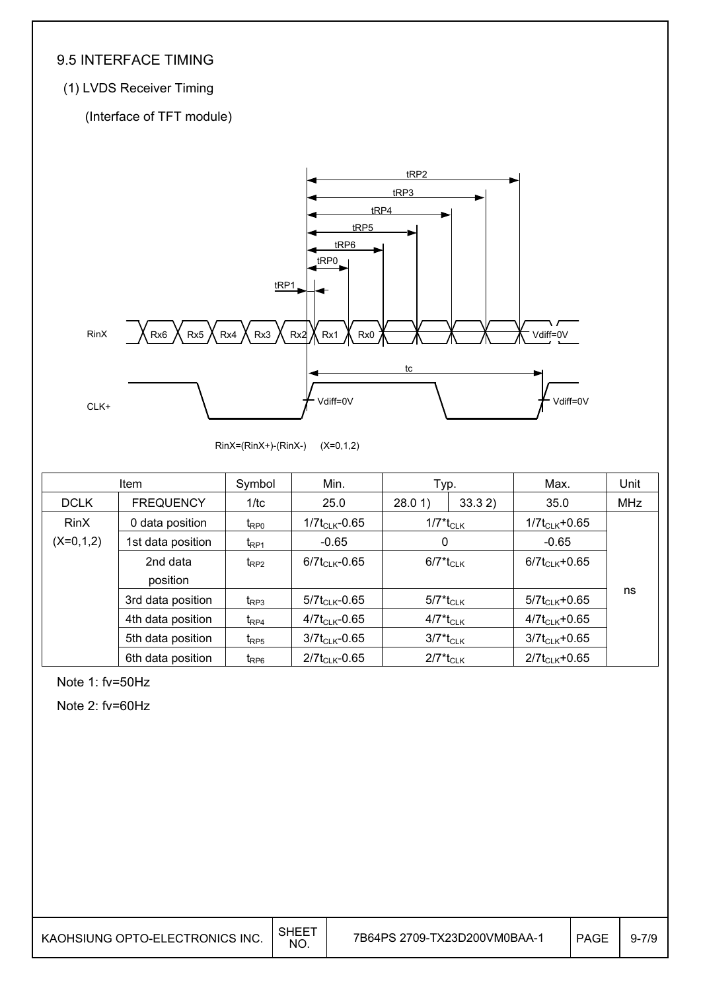### 9.5 INTERFACE TIMING

### (1) LVDS Receiver Timing

(Interface of TFT module)



RinX=(RinX+)-(RinX-) (X=0,1,2)

|             | <b>Item</b>       | Symbol                      | Min.                | Typ.                                |       | Max.                | Unit       |
|-------------|-------------------|-----------------------------|---------------------|-------------------------------------|-------|---------------------|------------|
| <b>DCLK</b> | <b>FREQUENCY</b>  | 1/tc                        | 25.0                | 28.01                               | 33.32 | 35.0                | <b>MHz</b> |
| <b>RinX</b> | 0 data position   | $t_{\text{RPO}}$            | $1/7t_{CLK}$ -0.65  | $1/7$ <sup>*</sup> t <sub>CLK</sub> |       | $1/7t_{CLK} + 0.65$ |            |
| $(X=0,1,2)$ | 1st data position | $t_{\mathsf{RP1}}$          | $-0.65$             | 0                                   |       | $-0.65$             |            |
|             | 2nd data          | $t_{RP2}$                   | $6/7t_{CLK}$ -0.65  | $6/7$ <sup>*</sup> t <sub>CLK</sub> |       | $6/7t_{CLK}$ +0.65  |            |
|             | position          |                             |                     |                                     |       |                     |            |
|             | 3rd data position | $t_{\mathsf{RP}3}$          | $5/7t_{CLK} - 0.65$ | $5/7^*$ t $_{\rm CLK}$              |       | $5/7t_{CLK} + 0.65$ | ns         |
|             | 4th data position | $t_{\text{RP4}}$            | $4/7t_{CLK}$ -0.65  | $4/7^*$ t <sub>CLK</sub>            |       | $4/7t_{CLK} + 0.65$ |            |
|             | 5th data position | $t_{\text{RPS}}$            | $3/7t_{CLK}$ -0.65  | $3/7$ <sup>*</sup> t <sub>CLK</sub> |       | $3/7t_{CLK} + 0.65$ |            |
|             | 6th data position | $t_{\mathsf{R}\mathsf{P}6}$ | $2/7t_{CLK} - 0.65$ | $2/7$ <sup>*</sup> t <sub>CLK</sub> |       | $2/7t_{CLK} + 0.65$ |            |

Note 1: fv=50Hz

Note 2: fv=60Hz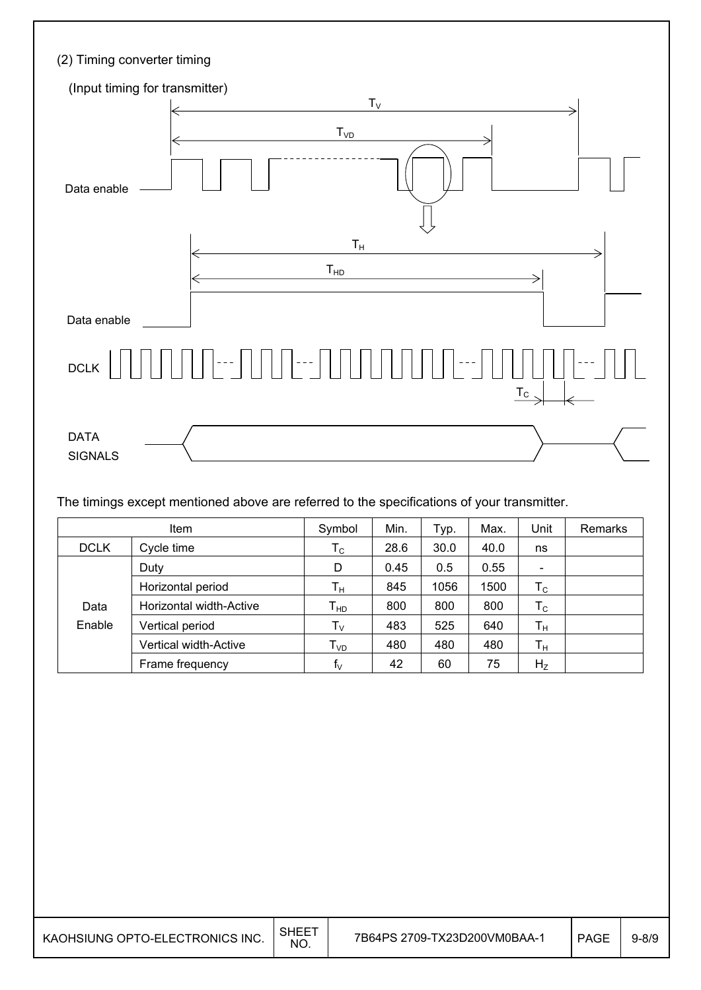| (2) Timing converter timing                               |
|-----------------------------------------------------------|
| (Input timing for transmitter)                            |
| $T_V$<br>T <sub>VD</sub><br>Data enable                   |
| $\mathsf{T}_\mathsf{H}$<br>T <sub>HD</sub><br>Data enable |
| DCLK<br>$\underline{T_{c}}$                               |
| <b>DATA</b><br><b>SIGNALS</b>                             |

The timings except mentioned above are referred to the specifications of your transmitter.

|             | <b>Item</b>                  | Symbol                    | Min. | Typ. | Max. | Unit           | <b>Remarks</b> |
|-------------|------------------------------|---------------------------|------|------|------|----------------|----------------|
| <b>DCLK</b> | Cycle time                   | $\mathsf{T}_{\mathsf{C}}$ | 28.6 | 30.0 | 40.0 | ns             |                |
|             | Duty                         | D                         | 0.45 | 0.5  | 0.55 |                |                |
|             | Horizontal period            | $T_{\rm H}$               | 845  | 1056 | 1500 | $T_{\rm C}$    |                |
| Data        | Horizontal width-Active      | $T_{HD}$                  | 800  | 800  | 800  | $T_{\rm C}$    |                |
| Enable      | Vertical period              | $T_{\rm V}$               | 483  | 525  | 640  | $T_{\rm H}$    |                |
|             | <b>Vertical width-Active</b> | T <sub>VD</sub>           | 480  | 480  | 480  | $T_{H}$        |                |
|             | Frame frequency              | $f_V$                     | 42   | 60   | 75   | H <sub>Z</sub> |                |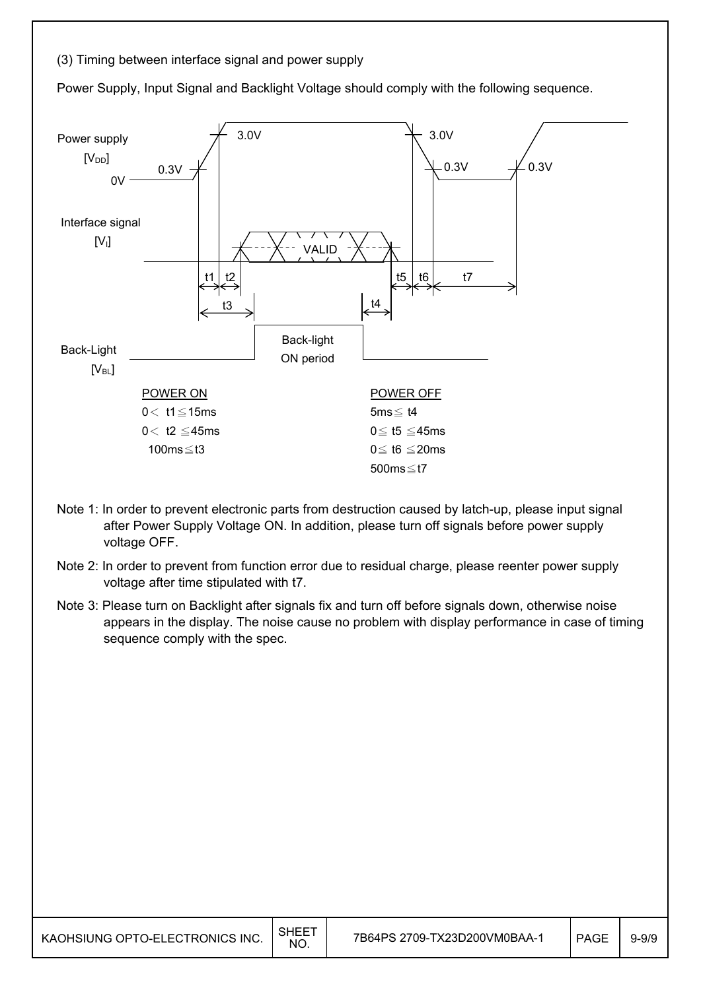#### (3) Timing between interface signal and power supply

Power Supply, Input Signal and Backlight Voltage should comply with the following sequence.



- Note 1: In order to prevent electronic parts from destruction caused by latch-up, please input signal after Power Supply Voltage ON. In addition, please turn off signals before power supply voltage OFF.
- Note 2: In order to prevent from function error due to residual charge, please reenter power supply voltage after time stipulated with t7.
- Note 3: Please turn on Backlight after signals fix and turn off before signals down, otherwise noise appears in the display. The noise cause no problem with display performance in case of timing sequence comply with the spec.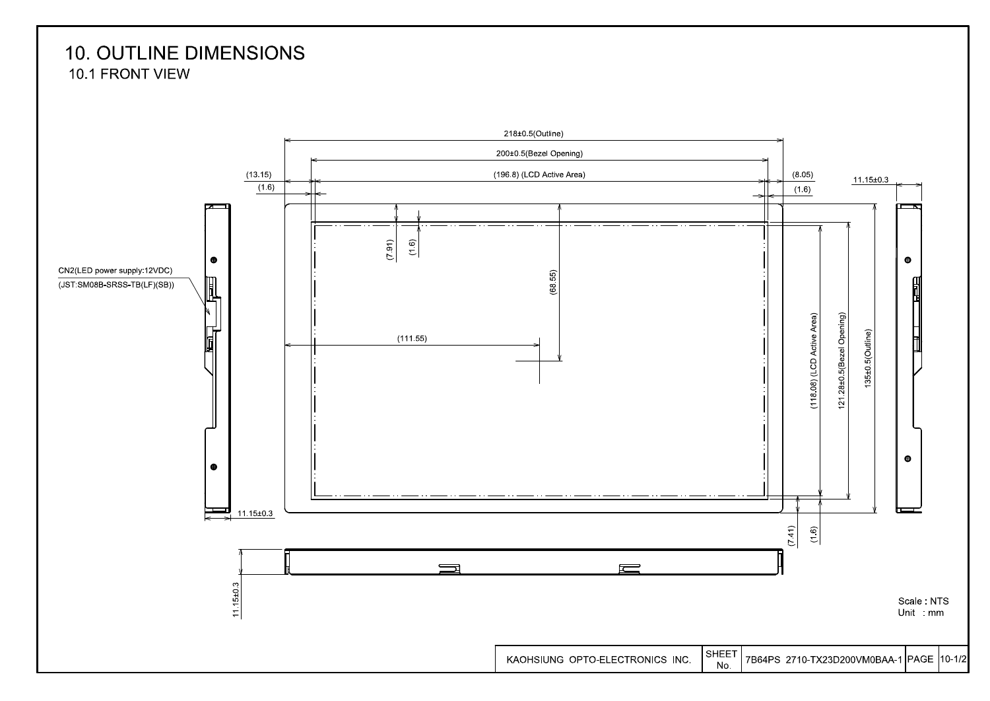## **10. OUTLINE DIMENSIONS** 10.1 FRONT VIEW

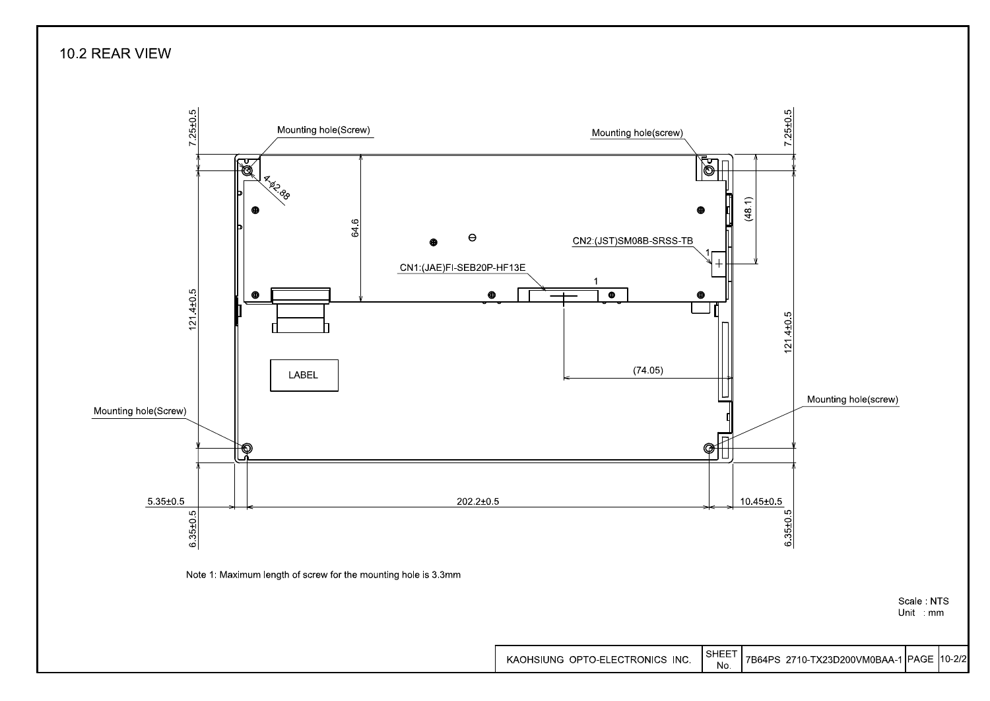10.2 REAR VIEW

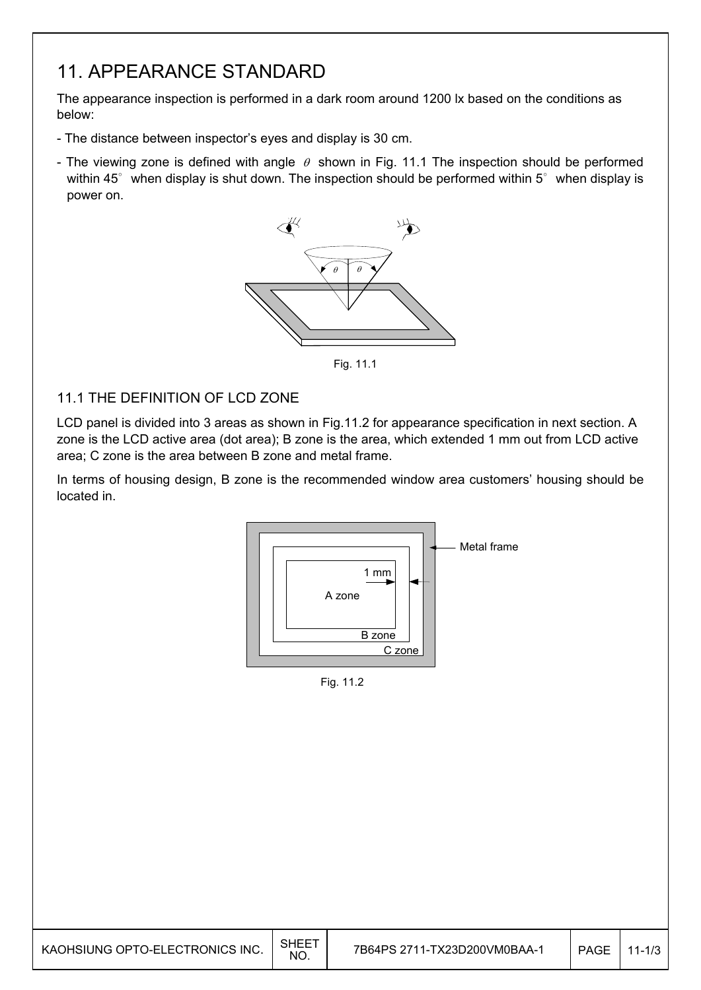## 11. APPEARANCE STANDARD

The appearance inspection is performed in a dark room around 1200 lx based on the conditions as below:

- The distance between inspector's eyes and display is 30 cm.
- The viewing zone is defined with angle  $\theta$  shown in Fig. 11.1 The inspection should be performed within 45 $^{\circ}$  when display is shut down. The inspection should be performed within 5 $^{\circ}$  when display is power on.



Fig. 11.1

#### 11.1 THE DEFINITION OF LCD ZONE

LCD panel is divided into 3 areas as shown in Fig.11.2 for appearance specification in next section. A zone is the LCD active area (dot area); B zone is the area, which extended 1 mm out from LCD active area; C zone is the area between B zone and metal frame.

In terms of housing design, B zone is the recommended window area customers' housing should be located in.



Fig. 11.2

| KAOHSIUNG OPTO-ELECTRONICS INC. | <b>SHEET</b><br>NO. | 7B64PS 2711-TX23D200VM0BAA-2 | <b>PAGE</b> | 1/3 |
|---------------------------------|---------------------|------------------------------|-------------|-----|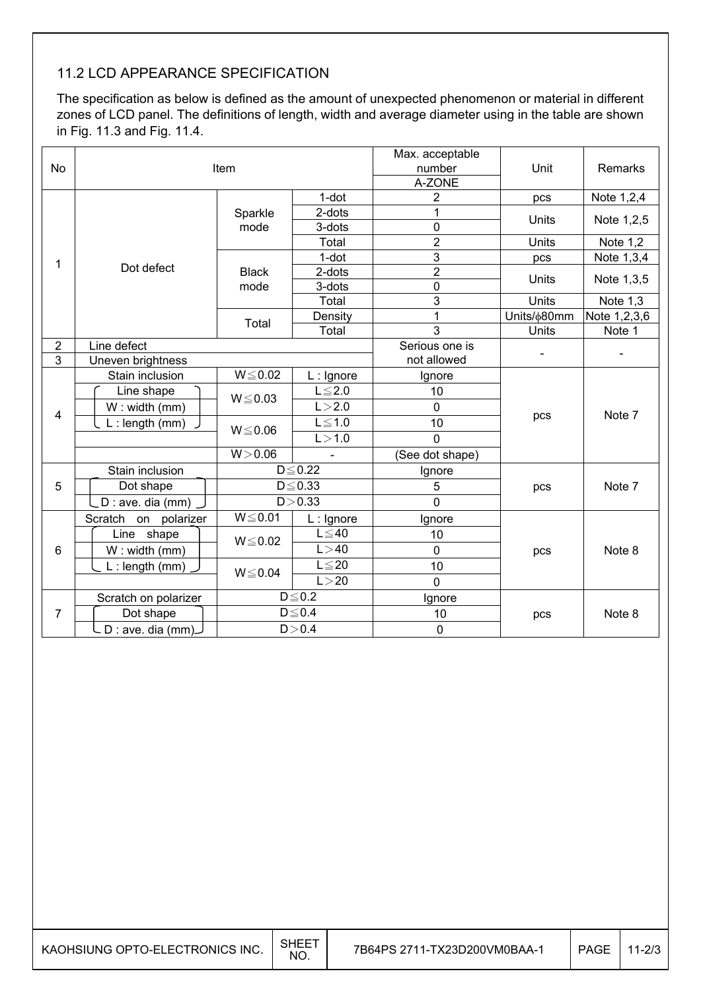## 11.2 LCD APPEARANCE SPECIFICATION

The specification as below is defined as the amount of unexpected phenomenon or material in different zones of LCD panel. The definitions of length, width and average diameter using in the table are shown in Fig. 11.3 and Fig. 11.4.

|                            |                                                                                                                                                                                                |                                                                                               | Max. acceptable<br>number<br>A-ZONE                                                                                                                               | Unit                                                                                                                         | Remarks                                                                        |
|----------------------------|------------------------------------------------------------------------------------------------------------------------------------------------------------------------------------------------|-----------------------------------------------------------------------------------------------|-------------------------------------------------------------------------------------------------------------------------------------------------------------------|------------------------------------------------------------------------------------------------------------------------------|--------------------------------------------------------------------------------|
|                            |                                                                                                                                                                                                | $1$ -dot                                                                                      | $\overline{2}$                                                                                                                                                    | pcs                                                                                                                          | Note 1,2,4                                                                     |
|                            | Sparkle                                                                                                                                                                                        | 2-dots                                                                                        | 1                                                                                                                                                                 |                                                                                                                              |                                                                                |
|                            | mode                                                                                                                                                                                           | 3-dots                                                                                        | $\mathbf 0$                                                                                                                                                       |                                                                                                                              | Note 1,2,5                                                                     |
|                            |                                                                                                                                                                                                | Total                                                                                         | $\overline{2}$                                                                                                                                                    | <b>Units</b>                                                                                                                 | Note 1,2                                                                       |
|                            |                                                                                                                                                                                                | $1$ -dot                                                                                      | 3                                                                                                                                                                 | pcs                                                                                                                          | Note 1,3,4                                                                     |
|                            | <b>Black</b>                                                                                                                                                                                   | 2-dots                                                                                        |                                                                                                                                                                   |                                                                                                                              | Note 1,3,5                                                                     |
|                            | mode                                                                                                                                                                                           | 3-dots                                                                                        | $\mathbf 0$                                                                                                                                                       |                                                                                                                              |                                                                                |
|                            |                                                                                                                                                                                                | Total                                                                                         |                                                                                                                                                                   |                                                                                                                              | Note 1,3                                                                       |
|                            |                                                                                                                                                                                                | Density                                                                                       | 1                                                                                                                                                                 | Units/¢80mm                                                                                                                  | Note 1,2,3,6                                                                   |
|                            |                                                                                                                                                                                                |                                                                                               |                                                                                                                                                                   |                                                                                                                              | Note 1                                                                         |
|                            |                                                                                                                                                                                                |                                                                                               |                                                                                                                                                                   |                                                                                                                              |                                                                                |
|                            |                                                                                                                                                                                                |                                                                                               |                                                                                                                                                                   |                                                                                                                              |                                                                                |
|                            |                                                                                                                                                                                                | $L:$ Ignore                                                                                   | Ignore                                                                                                                                                            |                                                                                                                              |                                                                                |
|                            |                                                                                                                                                                                                |                                                                                               |                                                                                                                                                                   |                                                                                                                              |                                                                                |
| $W:$ width (mm)            |                                                                                                                                                                                                |                                                                                               | $\overline{0}$                                                                                                                                                    |                                                                                                                              | Note 7                                                                         |
| $L:$ length (mm)           |                                                                                                                                                                                                |                                                                                               | 10                                                                                                                                                                |                                                                                                                              |                                                                                |
|                            |                                                                                                                                                                                                | L > 1.0                                                                                       | $\overline{0}$                                                                                                                                                    |                                                                                                                              |                                                                                |
|                            | W > 0.06                                                                                                                                                                                       |                                                                                               | (See dot shape)                                                                                                                                                   |                                                                                                                              |                                                                                |
| Stain inclusion            |                                                                                                                                                                                                |                                                                                               | Ignore                                                                                                                                                            |                                                                                                                              |                                                                                |
| Dot shape                  |                                                                                                                                                                                                |                                                                                               | 5                                                                                                                                                                 | pcs                                                                                                                          | Note 7                                                                         |
| _D : ave. dia (mm)         |                                                                                                                                                                                                |                                                                                               | $\overline{0}$                                                                                                                                                    |                                                                                                                              |                                                                                |
| polarizer<br>Scratch<br>on | $W \le 0.01$                                                                                                                                                                                   | $L:$ Ignore                                                                                   | Ignore                                                                                                                                                            |                                                                                                                              |                                                                                |
|                            |                                                                                                                                                                                                | $L \leq 40$                                                                                   |                                                                                                                                                                   |                                                                                                                              |                                                                                |
|                            |                                                                                                                                                                                                | L > 40                                                                                        | $\mathbf 0$                                                                                                                                                       |                                                                                                                              | Note 8                                                                         |
|                            |                                                                                                                                                                                                |                                                                                               |                                                                                                                                                                   |                                                                                                                              |                                                                                |
|                            |                                                                                                                                                                                                |                                                                                               |                                                                                                                                                                   |                                                                                                                              |                                                                                |
|                            |                                                                                                                                                                                                |                                                                                               |                                                                                                                                                                   |                                                                                                                              |                                                                                |
|                            |                                                                                                                                                                                                |                                                                                               |                                                                                                                                                                   |                                                                                                                              | Note 8                                                                         |
|                            |                                                                                                                                                                                                |                                                                                               |                                                                                                                                                                   |                                                                                                                              |                                                                                |
|                            | Dot defect<br>Line defect<br>Uneven brightness<br>Stain inclusion<br>Line shape<br>Line shape<br>W: width (mm)<br>$L:$ length (mm)<br>Scratch on polarizer<br>Dot shape<br>- D : ave. dia (mm) | Item<br>Total<br>$W \le 0.02$<br>$W \le 0.03$<br>$W \le 0.06$<br>$W \le 0.02$<br>$W \le 0.04$ | Total<br>$L \leq 2.0$<br>L > 2.0<br>$L \leq 1.0$<br>$D \leq 0.22$<br>$D \leq 0.33$<br>D > 0.33<br>$L \leq 20$<br>L > 20<br>$D \leq 0.2$<br>$D \le 0.4$<br>D > 0.4 | $\overline{2}$<br>3<br>3<br>Serious one is<br>not allowed<br>10<br>10<br>10<br>$\overline{0}$<br>Ignore<br>10<br>$\mathbf 0$ | Units<br>Units<br>Units<br><b>Units</b><br>$\overline{a}$<br>pcs<br>pcs<br>pcs |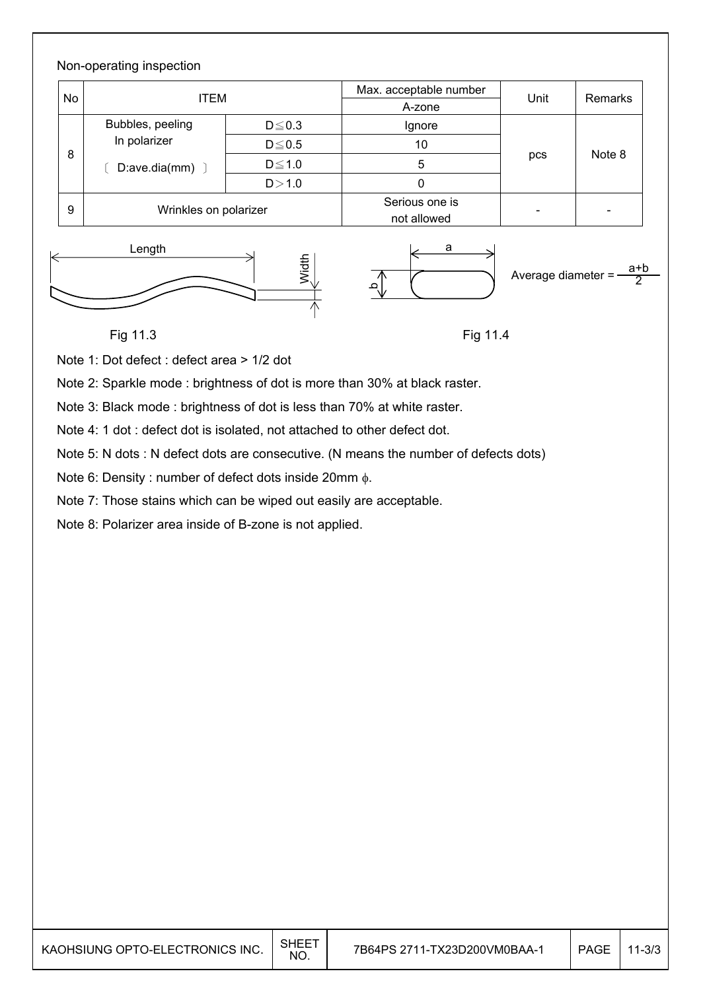#### Non-operating inspection No ITEM ITEM Max. acceptable number Unit Remarks 8 Bubbles, peeling In polarizer  $[$  D:ave.dia(mm)  $]$  $D \leq 0.3$  | Ignore pcs Note 8  $D \le 0.5$  10  $D \leq 1.0$  5  $D > 1.0$  0 9 Wrinkles on polarizer Serious one is  $\left| \begin{array}{ccc} \n\text{not allowed} & \n\end{array} \right|$ Length a







### Fig 11.3

Fig 11.4

Note 1: Dot defect : defect area > 1/2 dot

Note 2: Sparkle mode : brightness of dot is more than 30% at black raster.

Note 3: Black mode : brightness of dot is less than 70% at white raster.

Note 4: 1 dot : defect dot is isolated, not attached to other defect dot.

Note 5: N dots : N defect dots are consecutive. (N means the number of defects dots)

Note 6: Density : number of defect dots inside 20mm  $\phi$ .

Note 7: Those stains which can be wiped out easily are acceptable.

Note 8: Polarizer area inside of B-zone is not applied.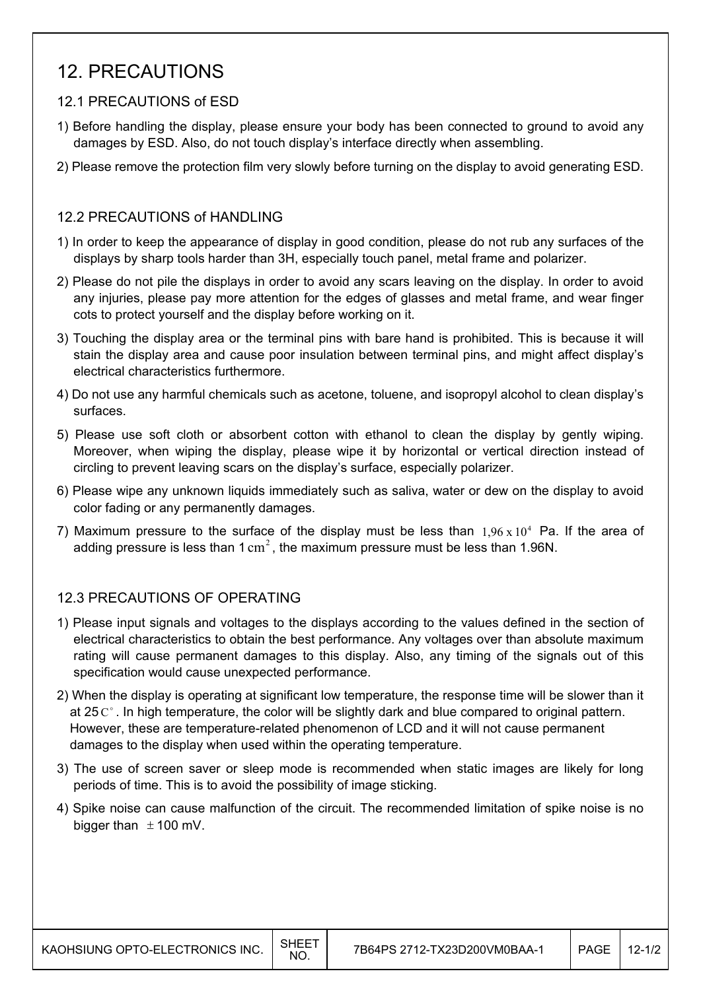## 12. PRECAUTIONS

#### 12.1 PRECAUTIONS of ESD

- 1) Before handling the display, please ensure your body has been connected to ground to avoid any damages by ESD. Also, do not touch display's interface directly when assembling.
- 2) Please remove the protection film very slowly before turning on the display to avoid generating ESD.

#### 12.2 PRECAUTIONS of HANDLING

- 1) In order to keep the appearance of display in good condition, please do not rub any surfaces of the displays by sharp tools harder than 3H, especially touch panel, metal frame and polarizer.
- 2) Please do not pile the displays in order to avoid any scars leaving on the display. In order to avoid any injuries, please pay more attention for the edges of glasses and metal frame, and wear finger cots to protect yourself and the display before working on it.
- 3) Touching the display area or the terminal pins with bare hand is prohibited. This is because it will stain the display area and cause poor insulation between terminal pins, and might affect display's electrical characteristics furthermore.
- 4) Do not use any harmful chemicals such as acetone, toluene, and isopropyl alcohol to clean display's surfaces.
- 5) Please use soft cloth or absorbent cotton with ethanol to clean the display by gently wiping. Moreover, when wiping the display, please wipe it by horizontal or vertical direction instead of circling to prevent leaving scars on the display's surface, especially polarizer.
- 6) Please wipe any unknown liquids immediately such as saliva, water or dew on the display to avoid color fading or any permanently damages.
- 7) Maximum pressure to the surface of the display must be less than  $1.96 \times 10^4$  Pa. If the area of adding pressure is less than  $1 \text{ cm}^2$ , the maximum pressure must be less than 1.96N.

#### 12.3 PRECAUTIONS OF OPERATING

- 1) Please input signals and voltages to the displays according to the values defined in the section of electrical characteristics to obtain the best performance. Any voltages over than absolute maximum rating will cause permanent damages to this display. Also, any timing of the signals out of this specification would cause unexpected performance.
- 2) When the display is operating at significant low temperature, the response time will be slower than it at 25  $\mathrm{C}^{\circ}$ . In high temperature, the color will be slightly dark and blue compared to original pattern. However, these are temperature-related phenomenon of LCD and it will not cause permanent damages to the display when used within the operating temperature.
- 3) The use of screen saver or sleep mode is recommended when static images are likely for long periods of time. This is to avoid the possibility of image sticking.
- 4) Spike noise can cause malfunction of the circuit. The recommended limitation of spike noise is no bigger than  $\pm$  100 mV.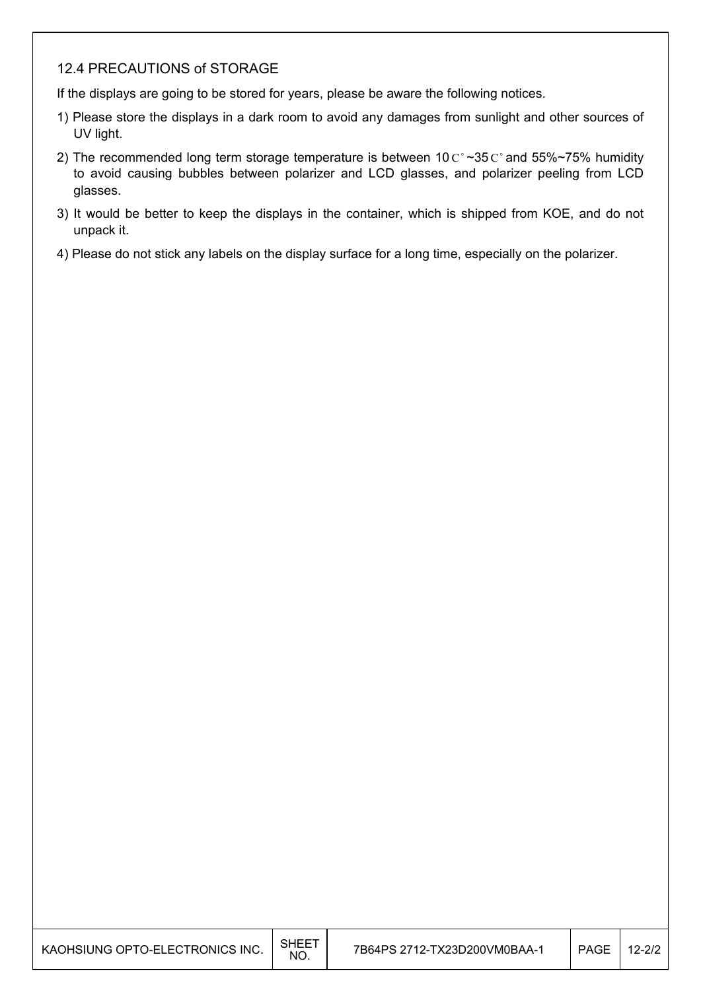#### 12.4 PRECAUTIONS of STORAGE

If the displays are going to be stored for years, please be aware the following notices.

- 1) Please store the displays in a dark room to avoid any damages from sunlight and other sources of UV light.
- 2) The recommended long term storage temperature is between 10  $C^{\circ}$  ~35  $C^{\circ}$  and 55%~75% humidity to avoid causing bubbles between polarizer and LCD glasses, and polarizer peeling from LCD glasses.
- 3) It would be better to keep the displays in the container, which is shipped from KOE, and do not unpack it.
- 4) Please do not stick any labels on the display surface for a long time, especially on the polarizer.

| KAOHSIUNG OPTO-ELECTRONICS INC. | <b>SHEET</b><br>NO. | 7B64PS 2712-TX23D200VM0BAA-1 | <b>PAGE</b> | 12-2/2 |
|---------------------------------|---------------------|------------------------------|-------------|--------|